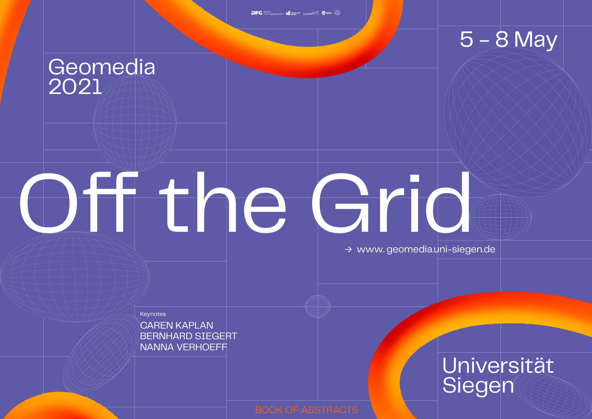BERNHARD SIEGERT CAREN KAPLAN NANNA VERHOEFF

# Off the Grid

# Geomedia 2021

# 5 - 8 May

# Universität Siegen

→ www. geomedia.uni-siegen.de

**Keynotes**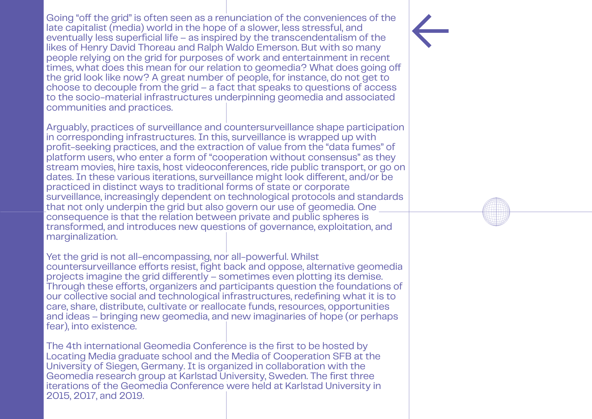Going "off the grid" is often seen as a renunciation of the conveniences of the late capitalist (media) world in the hope of a slower, less stressful, and eventually less superficial life – as inspired by the transcendentalism of the likes of Henry David Thoreau and Ralph Waldo Emerson. But with so many people relying on the grid for purposes of work and entertainment in recent times, what does this mean for our relation to geomedia? What does going off the grid look like now? A great number of people, for instance, do not get to choose to decouple from the grid – a fact that speaks to questions of access to the socio-material infrastructures underpinning geomedia and associated communities and practices.

Arguably, practices of surveillance and countersurveillance shape participation in corresponding infrastructures. In this, surveillance is wrapped up with profit-seeking practices, and the extraction of value from the "data fumes" of platform users, who enter a form of "cooperation without consensus" as they stream movies, hire taxis, host videoconferences, ride public transport, or go on dates. In these various iterations, surveillance might look different, and/or be practiced in distinct ways to traditional forms of state or corporate surveillance, increasingly dependent on technological protocols and standards that not only underpin the grid but also govern our use of geomedia. One consequence is that the relation between private and public spheres is transformed, and introduces new questions of governance, exploitation, and marginalization.

Yet the grid is not all-encompassing, nor all-powerful. Whilst countersurveillance efforts resist, fight back and oppose, alternative geomedia projects imagine the grid differently – sometimes even plotting its demise. Through these efforts, organizers and participants question the foundations of our collective social and technological infrastructures, redefining what it is to care, share, distribute, cultivate or reallocate funds, resources, opportunities and ideas – bringing new geomedia, and new imaginaries of hope (or perhaps fear), into existence.

The 4th international Geomedia Conference is the first to be hosted by Locating Media graduate school and the Media of Cooperation SFB at the University of Siegen, Germany. It is organized in collaboration with the Geomedia research group at Karlstad University, Sweden. The first three iterations of the Geomedia Conference were held at Karlstad University in 2015, 2017, and 2019.



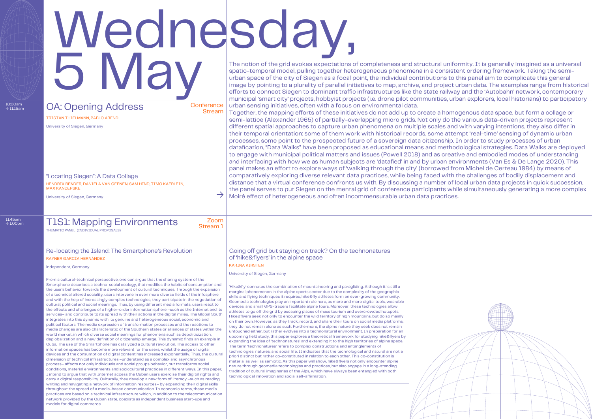# Wednesday, 5 May

# T1S1: Mapping Environments

**Conference** Stream

11:45am → 1:00pm

independent, Germany

University of Siegen, Germany

University of Siegen, Germany

University of Siegen, Germany

From a cultural-technical perspective, one can argue that the sharing system of the Smartphone describes a techno-social ecology, that modifies the habits of consumption and the user's behavior towards the development of cultural techniques. Through the expansion of a technical altered sociality, users intervene in even more diverse fields of the infosphere and with the help of increasingly complex technologies, they participate in the negotiation of cultural, political and social meanings. Thus, by using different media formats, users react to the effects and challenges of a higher-order information sphere –such as the Internet and its services– and contribute to its spread with their actions in the digital milieu. The Global South integrates into this dynamic with its genuine and heterogeneous social, economic and political factors. The media expression of transformation processes and the reactions to media changes are also characteristic of the Southern states or alliances of states within the world market, in which diverse social meanings for phenomena such as depoliticization, deglobalization and a new definition of citizenship emerge. This dynamic finds an example in Cuba. The use of the Smartphone has catalyzed a cultural revolution. The access to other information spaces has become more relevant for the users, whilst the usage of digital devices and the consumption of digital content has increased exponentially. Thus, the cultural dimension of technical infrastructures –understand as a complex and asynchronous process– affects not only individuals and social groups behavior, but transforms social conditions, material environments and sociocultural practices in different ways. In this paper, I intend to argue that with Internet access the Cuban users exercise their digital rights and carry a digital responsibility. Culturally, they develop a new form of literacy –such as reading, writing and navigating a network of information resources– by expanding their digital skills throughout the spread of a media-based communication. In economic terms, these media practices are based on a technical infrastructure which, in addition to the telecommunication network provided by the Cuban state, coexists as independent business start-ups and models for digital commerce.

The notion of the grid evokes expectations of completeness and structural uniformity. It is generally imagined as a universal spatio-temporal model, pulling together heterogeneous phenomena in a consistent ordering framework. Taking the semiurban space of the city of Siegen as a focal point, the individual contributions to this panel aim to complicate this general image by pointing to a plurality of parallel initiatives to map, archive, and project urban data. The examples range from historical efforts to connect Siegen to dominant traffic infrastructures like the state railway and the 'Autobahn' network, contemporary municipal 'smart city' projects, hobbyist projects (i.e. drone pilot communities, urban explorers, local historians) to participatory

urban sensing initiatives, often with a focus on environmental data.

Together, the mapping efforts of these initiatives do not add up to create a homogenous data space, but form a collage or semi-lattice (Alexander 1965) of partially-overlapping micro grids. Not only do the various data-driven projects represent different spatial approaches to capture urban phenomena on multiple scales and with varying intentions, they also differ in their temporal orientation: some of them work with historical records, some attempt 'real-time' sensing of dynamic urban processes, some point to the prospected future of a sovereign data citizenship. In order to study processes of urban datafication, "Data Walks" have been proposed as educational means and methodological strategies. Data Walks are deployed to engage with municipal political matters and issues (Powell 2018) and as creative and embodied modes of understanding and interfacing with how we as human subjects are 'datafied' in and by urban environments (Van Es & De Lange 2020). This panel makes an effort to explore ways of 'walking through the city' (borrowed from Michel de Certeau 1984) by means of comparatively exploring diverse relevant data practices, while being faced with the challenges of bodily displacement and distance that a virtual conference confronts us with. By discussing a number of local urban data projects in quick succession, the panel serves to put Siegen on the mental grid of conference participants while simultaneously generating a more complex Moiré effect of heterogeneous and often incommensurable urban data practices.



'Hike&fly' connotes the combination of mountaineering and paragliding. Although it is still a marginal phenomenon in the alpine sports sector due to the complexity of the geographic skills and flying techniques it requires, hike&fly athletes form an ever-growing community. Geomedia technologies play an important role here, as more and more digital tools, wearable devices, and small GPS-tracers facilitate alpine tours. Moreover, these technologies allow athletes to go off the grid by escaping places of mass tourism and overcrowded hotspots. Hike&flyers seek not only to encounter the wild territory of high mountains, but do so mainly on their own. However, as they track, record, and share their tours on social media platforms, they do not remain alone as such. Furthermore, the alpine nature they seek does not remain untouched either, but rather evolves into a technonatural environment. In preparation for an upcoming field study, this paper explores a theoretical framework for studying hike&flyers by expanding the idea of 'technonatures' and extending it to the high territories of alpine space. The term 'technonatures' refers to complex constructions and entanglements of technologies, natures, and social life. It indicates that the technological and natural are not a priori distinct but rather co-constituted in relation to each other. This co-constitution is material as well as semiotic. As this paper will show, hike&flyers not only encounter alpine nature through geomedia technologies and practices, but also engage in a long-standing tradition of cultural imaginaries of the Alps, which have always been entangled with both technological innovation and social self-affirmation.

THEMATIC PANEL (INDIVIDUAL PROPOSALS)

#### Re-locating the Island: The Smartphone's Revolution RAYNER GARCÍA HERNÁNDEZ

"Locating Siegen": A Data Collage HENDRIK BENDER, DANIELA VAN GEENEN, SAM HIND, TIMO KAERLEIN, MAX KANDERSKE

TRISTAN THIELMANN, PABLO ABEND

Going off grid but staying on track? On the technonatures of 'hike&flyers' in the alpine space

KARINA KIRSTEN

Zoom Stream 1

 $\rightarrow$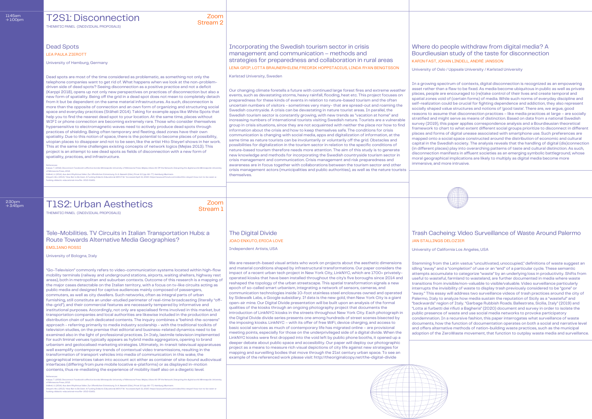Karlstad University, Sweden

University of Oslo / Uppsala University / Karlstad University

Our changing climate foretells a future with continued large forest fires and extreme weather events, such as devastating storms, heavy rainfall, flooding, heat etc. This project focuses on preparedness for these kinds of events in relation to nature-based tourism and the often uncertain numbers of visitors - sometimes very many- that are spread-out and roaming the Swedish countryside. A crisis can be devastating in nature tourist areas. In parallel, the Swedish tourism sector is constantly growing, with new trends as "vacation at home" and increasing numbers of international tourists visiting Swedish nature. Tourists are a vulnerable group in crisis situations, since they are not acquainted with neither the place nor how to find information about the crisis and how to keep themselves safe. The conditions for crisis communication is changing with social media, apps and digitalization of information, at the same time as nature tourists can be involuntarily or voluntarily off the grid. Obstacles and possibilities for digitalization in the tourism sector in relation to the specific conditions of nature-based tourism therefore needs more attention. The aim of this study is to generate new knowledge and methods for incorporating the Swedish countryside tourism sector in crisis management and communication. Crisis management and risk preparedness and awareness are in focus together with collaborations between the tourism sector and other crisis management actors (municipalities and public authorities), as well as the nature tourists themselves.

#### 11:45am  $\rightarrow$  1:00pm

 $2:30$ pm<br> $\rightarrow 3:45$ pm

In a growing spectrum of contexts, digital disconnection is recognized as an empowering asset rather than a flaw to be fixed. As media become ubiquitous in public as well as private places, people are encouraged to (re)take control of their lives and create temporal and spatial zones void of (certain forms) of media. While such norms of everyday discipline and self-realization could be crucial for fighting dependence and addiction, they also represent socially shaped value structures and notions of 'good taste'. There are, we argue, good reasons to assume that disconnection practices – like media practices at large – are socially stratified and might serve as means of distinction. Based on data from a national Swedish survey (2019), this paper applies correspondence analysis and a Bourdieusian theoretical framework to chart to what extent different social groups prioritize to disconnect in different places and forms of digital unease associated with smartphone use. Such preferences are mapped onto a social space constructed around the distribution of economic and cultural capital in the Swedish society. The analysis reveals that the handling of digital (dis)connection (in different places) play into overarching patterns of taste and cultural distinction. As such, disconnection manifests in affluent societies as an emerging symbolic battleground, whose moral geographical implications are likely to multiply as digital media become more immersive, and more intrusive.

# T1S2: Urban Aesthetics → 3:45pm Zoom

## T2S1: Disconnection

Stream 1

Zoom Stream 2

## Dead Spots

#### Tele-Mobilities. TV Circuits in Italian Transportation Hubs: a Route Towards Alternative Media Geographies? EMILIANO ROSSI

## The Digital Divide Trash Cacheing: Video Surveillance of Waste Around Palermo JOAO ENXUTO, ERICA LOVE JAN STALLINGS DELOZIER

### Incorporating the Swedish tourism sector in crisis management and communication – methods and strategies for preparedness and collaboration in rural areas LENA GRIP, LOTTA BRAUNERHILEM, FREDRIK HOPPSTADIUS, LINDA RYAN BENGTSSON

THEMATIC PANEL (INDIVIDUAL PROPOSALS)

LEA PAULA ZIEROTT

## Where do people withdraw from digital media? A Bourdieusian study of the taste for disconnection KARIN FAST, JOHAN LINDELL, ANDRÉ JANSSON

THEMATIC PANEL (INDIVIDUAL PROPOSALS)

University of Hamburg, Germany

Independent Artists, USA University of California Los Angeles, USA

University of Bologna, Italy

Dead spots are most of the time considered as problematic, as something not only the telephone companies want to get rid of. What happens when we look at the non-problemdriven side of dead spots? Seeing disconnection as a positive practice and not a deficit (Karppi 2018), opens up not only new perspectives on practices of disconnection but also a new form of spatiality. Being off the grid in a dead spot does not mean to completely detach from it but be dependent on the same material infrastructures. As such, disconnection is more than the opposite of connection and an own form of organizing and structuring social space and everyday practices (Stäheli 2014). Taking for example apps like White Spots that help you to find the nearest dead spot to your location. At the same time, places without WIFI or phone connection are becoming extremely rare. Those who consider themselves hypersensitive to electromagnetic waves need to actively produce dead spots through practices of shielding. Being often temporary and fleeting, dead zones have their own spatiality. Due to this notion of space, there is the potential to become places of possibility, utopian places to disappear and not to be seen, like the artist Hito Steyerl shows in her work. This at the same time challenges existing concepts of network logics (Mejias 2013). This project is an attempt to see dead spots as fields of disconnection with a new form of spatiality, practices, and infrastructure.

References:<br>Karppi, T. (2018). Disconnect: Facebook's affective bonds. Minneapolis: University of Minnesota Press. Mejias, Ulises Ali: Off the Network. Disrupting the digital world. Minneapolis: University of Minnesota Press, 2013.<br>Stäheli, U. (2014). Aus dem Rhythmus fallen. Zur öffentlichen Entnetzung. In A. Nassehi (Eds.), Privat 2.0 (pp. 66–77). Hamburg: Murmann.<br>Stayeri, Hic. (2013). "How Not to Be Seen. A Fucking Didac

We are research-based visual artists who work on projects about the aesthetic dimensions and material conditions shaped by infrastructural transformations. Our paper considers the impact of a recent urban tech project in New York City, LinkNYC, which are 1700+ privatelyoperated kiosks that have been installed throughout the city's five boroughs since 2014 and reshaped the topology of the urban streetscape. This spatial transformation signals a new epoch of so-called smart urbanism, integrating a network of sensors, cameras, and communication technologies inside 10-foot stainless steel enclosures owned and operated by Sidewalk Labs, a Google subsidiary. If data is the new gold, then New York City is a giant open-air mine. Our Digital Divide presentation will be built upon an analysis of the formal qualities of the kiosks through an ongoing photography project that documents the introduction of LinkNYC kiosks in the streets throughout New York City. Each photograph in the Digital Divide divide series presents one among hundreds of street scenes bisected by the imposing kiosks. LinkNYC – with its offer of free WiFi, device charging, and access to basic social services as much of contemporary life has migrated online – are provisional meeting points, especially for those on the underprivileged side of a digital divide. When the LinkNYC kiosks were first dropped into the void left by public phone booths, it opened up a deeper debate about public space and accesibility. Our paper will deploy our photographic project as a means to measure rich visual depictions of city life against new strategies for mapping and surveilling bodies that move through the 21st century urban space. To see an example of the referenced work please visit: http://theoriginalcopy.net/the-digital-divide

Stemming from the Latin vastus "uncultivated, unoccupied," definitions of waste suggest an idling "away" and a "completion" of use or an "end" of a particular cycle. These semantic attempts accumulate to categorize "waste" by an underlying loss in productivity. Shifts from useful to wasteful, farmland to wasteland, are further documented in media where waste transitions from invisible/non-valuable to visible/valuable. Video surveillance particularly interrupts the invisibility of waste to display trash previously considered to be "gone" or "away." This essay will address two surveillance videos of trash practices around the city of Palermo, Italy to analyze how media sustain the reputation of Sicily as a "wasteful" and "backwards" region of Italy. "Garbage Rubbish Roads. Ballestrate, Sicilia, Italy" (2019) and "Lotta ai furbetti dei rifiuti a Bagheria" (2020) document and survey in order to isolate the public presence of waste and use social media networks to provoke participatory condemnation. In a recursive fashion, this paper interrogates what surveillance of waste documents, how the function of documentation operates on both a social and narrative level and offers alternative methods of nation-building waste practices, such as the municipal adoption of the ZeroWaste movement, that function to outplay waste media and surveillance.





"Go-Television" commonly refers to video-communication systems located within high-flow mobility terminals (railway and underground stations, airports, waiting shelters, highway rest areas), both in metropolitan and suburban contexts. Outcome of this research is a mapping of the major cases detectable on the Italian territory, with a focus on tv-like circuits acting as public media and designed for captive audiences mainly composed of passengers, commuters, as well as city dwellers. Such networks, often as integral parts of urban furnishing, still constitute an under-studied perimeter of real-time broadcasting (literally "offthe-grid"), and their commercial features are necessarily tempered by informative and institutional purposes. Accordingly, not only are specialised firms involved in this market, but transportation companies and local authorities are likewise included in the production and distribution chain of such dedicated contents. The inquiry combines a "behind-the-screens" approach - referring primarily to media industry scolarship - with the traditional toolkits of television studies, on the premise that editorial and business-related dynamics need to be examined also in the light of professional practices. In Italy, lastmile television implemented for such liminal venues typically appears as hybrid media aggregators, opening to brand urbanism and geolocalised marketing strategies. Ultimately, in-transit televisual apparatuses well exemplify contemporary trends of contextual video transmissions, resulting in the transformation of transport vehicles into media of communication: in this wake, the geographical interstices taken into account act either as container of site-bound audiovisual interfaces (differing from pure mobile locative e-platforms) or as displayed in-motion contents, thus re-mediating the experience of mobility itself also on a diegetic level.

#### References:

Karppi, T. (2018). Disconnect Facebook's affective bonds. Minneapolis: University of Minnesota Press. Mejias, Ulises Ali: Off the Network. Disrupting the digital world. Minneapolis: University<br>of Minnesota Press, 2013.<br>Ste

.<br>ucking-didactic-educational-movfile- 2013-51651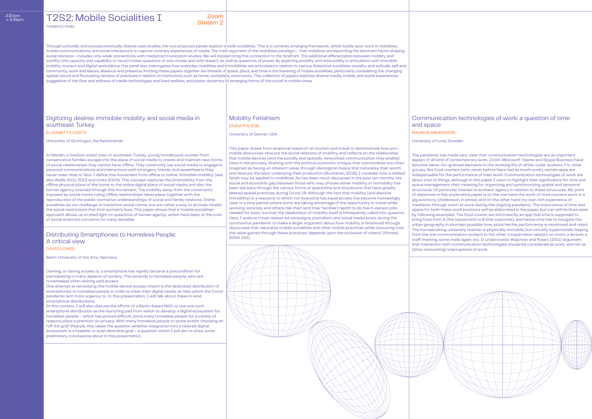This paper draws from empirical research on tourism and travel to demonstrate how promobile discourses obscure the social relations of mobility, and reflects on the relationship that mobile devices (and the socially and spatially networked communication they enable) have in this process. Starting with the political economic critique that commodities are often imagined as having an inherent value, through ideological means that naturalize their worth and obscure the labor underlying their production (Buchanan, 2018), I consider how a related fetish may be applied to mobilities. As has been much discussed in the past ten months, the social and economic gap between those who may choose either mobility or immobility has been laid bare through the various forms of quarantine and shutdowns that have greatly altered spatial practices during Covid-19. Although the fact that mobility (and elective immobility) is a resource to which not everyone has equal access has become increasingly clear in a time period where some are taking advantage of the opportunity to travel while working remotely and others risk their (and their families') health to do the in-person jobs needed for basic survival, the idealization of mobility itself is infrequently called into question. Here, I analyze travel related ad campaigns, journalism, and social media posts during the coronavirus pandemic to make a larger argument about how mobility is fetishized through discourses that naturalize mobile socialities and other mobile practices while obscuring how the value gained through these practices "depends upon the exclusion of others" (Ahmed, 2004: 152).

The pandemic has made very clear that communication technologies are an important aspect of all kind of contemporary work. Zoom, Microsoft Teams and Skype Business have become taken-for-granted elements in the working life of white-collar workers. For other groups, like food couriers (who never before have had as much work), certain apps are indispensable for the performance of their work. Communication technologies of work are about a lot of things, although in this paper I want to highlight their significance for time and space management; their meaning for organizing and synchronizing spatial and temporal structures. Of particular interest is workers' agency in relation to these structures. My point of departure in this explorative paper is on the one hand the work of food couriers work in a gig economy (Andersson, in press), and on the other hand my own rich experience of mediation through zoom at work during the ongoing pandemic. The importance of time and space for both these work positions will be elaborated in the paper, but can still be illustrated by following examples: The food courier are informed by an app that s/he is supposed to bring food from A (the restaurant) to B (the customer), and hence s/he has to navigate the urban geography in shortest possible time, since her/his performance is monitored and rated. The homeworking university teacher is physically immobile, but virtually hypermobile, leaping from the one communicative context to the other: a supervision session on zoom, a lecture, a staff meeting, some mails again, etc. It underscores Wajcman and Rose's (2011) argument that interaction with communication technologies should be considered as work, and not as (time-consuming) interruptions of work.

## T2S2: Mobile Socialities I Zoom

One attempt at remedying this mobile device access chasm is the dedicated distribution of smartphones to homeless people in order to meet their digital needs; an idea which the Covid pandemic lent more urgency to. In this presentation, I will talk about these in-kind smartphone distributions.

# Stream 2

Through culturally and socioeconomically diverse case studies, the two proposed panels explore 'mobile socialities.' This is a currently emerging framework, which builds upon work in mobilities, mobile communications, and social interactions to capture contrary experiences of media. The main argument of the mobilities paradigm – that mobilities are becoming the dominant factor shaping social relations – includes only weak connections with media/communication studies. We will instead bring this connection to the forefront. The additional differentiation between mobility and motility (the capacity and capability to move) invites questions of who moves and who doesn't, as well as questions of power. By exploring sociality and antisociality in articulation with immobile mobility, tourism, and digital work/labour, this panel also interrogates how everyday mobilities and immobilities are articulated in relation to various dialectical socialities: sociality and solitude, self and community, work and leisure, absence and presence. Knitting these papers together are threads of space, place, and time in the fostering of mobile socialities, particularly considering the changing spatial nature and fluctuating tempos of practices in relation to institutions such as home, workplace, community. This collection of papers explores diverse media, mobile, and social experiences suggestive of the flow and stillness of media technologies and lived realities, and power dynamics of emerging forms of 'the social' in mobile times

## Digitizing desires: immobile mobility and social media in southeast Turkey

## Distributing Smartphones to Homeless People: A critical view

### Mobility Fetishism Communication technologies of work: a question of time

THEMATIC PANEL

ELISABETTA COSTA

and space MAGNUS ANDERSSON

DAVID LOWIS

ERIKA POLSON

University of Groningen, the Netherlands

Berlin University of the Arts, Germany

University of Denver, USA

#### University of Lund, Sweden

In Mardin, a medium-sized town in southeast Turkey, young homebound women from conservative families escape into the place of social media to create and maintain new forms of social relationships they cannot have offline. They commonly use social media to engage in personal communications and interactions with strangers, friends, and sweethearts they never meet face to face. I define this movement from offline to online, 'immobile mobility' (see also Wallis 2011; 2013 and Ureta 2004). This concept captures the (im)mobility from the offline physical place of the home to the online digital place of social media, and also the human agency enacted through this movement. The mobility away from the constraints imposed by social norms ruling offline relationships takes place together with the reproduction of the public normative understandings of social and family relations. Online socialities do not challenge or transform social norms, but are rather a way to actively inhabit the social restrictions that limit women's lives. This paper shows that a 'mobile socialities' approach allows us to shed light on questions of human agency, which have been at the core of social science's concerns for many decades.

Owning, or having access to, a smartphone has rapidly become a precondition for participating in many aspects of society. This extends to homeless people, who are nonetheless often lacking said access.

In this context, I will also discuss the efforts of a Berlin-based NGO to use one such smartphone distribution as the launching pad from which to develop a digital ecosystem for homeless people – which has proved difficult, since many homeless people for a variety of reasons place a premium on privacy. With many homeless people to some extent choosing an "off the grid" lifestyle, this raises the question whether integration into a tailored digital ecosystem is a feasible, or even desirable goal – a question which I will aim to draw some preliminary conclusions about in this presentation.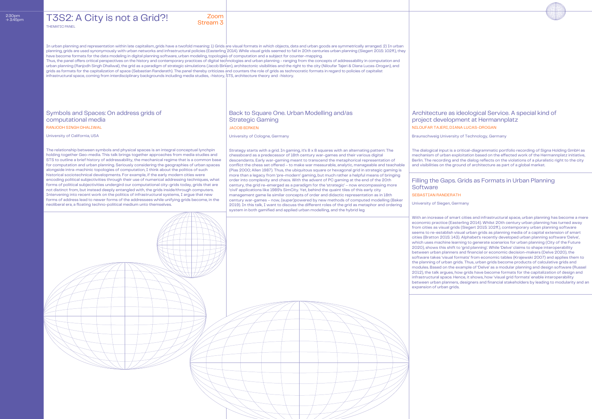University of Cologne, Germany

## Stream 3

## T3S2: A City is not a Grid?!

#### Architecture as ideological Service. A special kind of project development at Hermannplatz NILOUFAR TAJERI, DIANA LUCAS-DROGAN

# **Software** SEBASTIAN RANDERATH

## Back to Square One. Urban Modelling and/as Strategic Gaming

Symbols and Spaces: On address grids of computational media RANJODH SINGH DHALIWAL JACOB BIRKEN

THEMATIC PANEL

#### Filling the Gaps. Grids as Formats in Urban Planning

In urban planning and representation within late capitalism, grids have a twofold meaning: 1) Grids are visual formats in which objects, data and urban goods are symmetrically arranged. 2) In urban planning, grids are used synonymously with urban networks and infrastructural policies (Easterling 2014). While visual grids seemed to fail in 20th centuries urban planning (Siegert 2015: 102ff.), they have become formats for the data modeling in digital planning software, urban modeling, topologies of computation and a subject for counter-mapping.

Thus, the panel offers critical perspectives on the history and contemporary practices of digital technologies and urban planning - ranging from the concepts of addressability in computation and urban planning (Ranjodh Singh Dhaliwal), the grid as a paradigm of strategic simulations (Jacob Birken), architectonic visibilities and the right to the city (Niloufar Tajeri & Diana Lucas-Drogan), and grids as formats for the capitalization of space (Sebastian Randerath). The panel thereby criticizes and counters the role of grids as technocratic formats in regard to policies of capitalist infrastructural space, coming from interdisciplinary backgrounds including media studies, -history, STS, architecture theory and -history.

University of California, USA

University of Siegen, Germany

Braunschweig University of Technology, Germany

The relationship between symbols and physical spaces is an integral conceptual lynchpin holding together Geo-media. This talk brings together approaches from media studies and STS to outline a brief history of addressability, the mechanical regime that is a common base for computation and urban planning. Seriously considering the geographies of urban spaces alongside intra-machinic topologies of computation, I think about the politics of such historical sociotechnical developments. For example, if the early modern cities were encoding political subjectivities through their use of numerical addressing techniques, what forms of political subjectivities undergird our computational city-grids today, grids that are not distinct from, but instead deeply entangled with, the grids inside/through computers. Intervening into recent work on the politics of infrastructural systems, I argue that new forms of address lead to newer forms of the addressees while unifying grids become, in the neoliberal era, a floating techno-political medium unto themselves.

> With an increase of smart cities and infrastructural space, urban planning has become a mere economic practice (Easterling 2014). Whilst 20th century urban planning has turned away from cities as visual grids (Siegert 2015: 102ff.), contemporary urban planning software seems to re-establish visual urban grids as planning media of a capital extension of smart cities (Bratton 2015: 143). Alphabet's recently developed urban planning software 'Delve', which uses machine learning to generate scenarios for urban planning (City of the Future 2020), shows this shift to 'grid planning'. While 'Delve' claims to shape interoperability between urban planners and financial or economic decision-makers (Delve 2020), the software takes 'visual formats' from economic tables (Krajewski 2007) and applies them to the planning of urban grids. Thus, urban grids become products of calculative grids and modules. Based on the example of 'Delve' as a modular planning and design software (Russel 2012), the talk argues, how grids have become formats for the capitalization of design and infrastructural space. Hence, it shows, how 'visual grid formats' enable interoperability between urban planners, designers and financial stakeholders by leading to modularity and an expansion of urban grids.



Strategy starts with a grid. In gaming, it's 8 x 8 squares with an alternating pattern: The chessboard as a predecessor of 18th century war-games and their various digital descendants. Early war-gaming meant to transcend the metaphorical representation of conflict the chess set offered – to make war measurable, analytic, manageable and teachable (Pias 2000; Allen 1987). Thus, the ubiquitous square or hexagonal grid in strategic gaming is more than a legacy from 'pre-modern' gaming, but much rather a helpful means of bringing order into complexity and chaos. With the advent of PC gaming at the end of the 20th century, the grid re-emerged as a paradigm for the 'strategic' – now encompassing more 'civil' applications like 1989's SimCity. Yet, behind the quaint tiles of this early city management game lie similar concepts of order and didactic representation as in 18th century war-games – now, (super)powered by new methods of computed modelling (Baker 2019). In this talk, I want to discuss the different roles of the grid as metaphor and ordering system in both gamified and applied urban modelling, and the hybrid leg

The dialogical input is a critical-diagrammatic portfolio recording of Signa Holding GmbH as mechanism of urban exploitation based on the effected work of the Hermannplatz initiative, Berlin. The recording and the dialog reflects on the violations of a pluralistic right to the city and visibilities on the ground of architecture as part of a global market.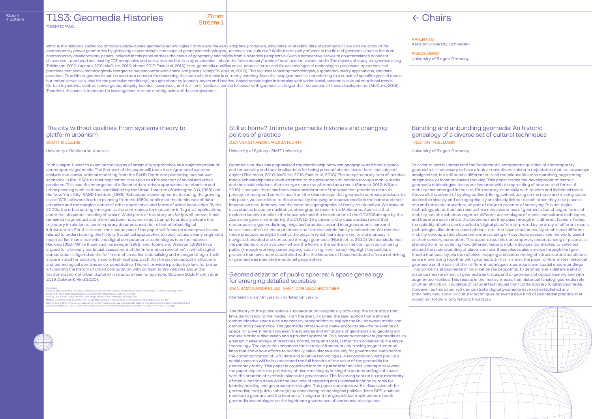## T1S3: Geomedia Histories Zoom

THEMATIC PANEL

## Stream 1

#### Still at home? Intimate geomedia histories and changing politics of practice SCOTT MCQUIRE AND RESERVE THE SECOTT MCQUIRE THE SCOTT MCQUIRE AND RESERVE THE SCOTT MCGUIRE OF SCOTT MCGUIRE

## The city without qualities: From systems theory to platform urbanism

Geomediatization of public spheres: A space genealogy for emerging datafied societies JOAN RAMON RODRIGUEZ-AMAT, CORNELIA BRANTNER

### Bundling and unbundling geomedia: An historic genealogy of a diverse set of cultural techniques TRISTAN THIELMANN

What is the historical backdrop of today's place-aware geomedia technologies? Who were the early adopters, producers, advocates, or stakeholders of geomedia? How can we account for contemporary power geometries by glimpsing at yesterday's landscape of geomedia technologies, practices and cultures? While the majority of work in the field of geomedia studies focus on contemporary developments, papers included in this panel address the nexus of geography and media from a historical perspective. Such a perspective serves to counterbalance dominant discourses - produced not least by ICT companies and policy makers but also by academics - about the "revolutionary" traits of new location-aware media. The objects of study are geomedia (e.g. Thielmann, 2010; Lapenta, 2011; McQuire, 2016; Abend, 2017; Fast et al, 2018). Here, geomedia qualifies as an umbrella term used for assemblages of technologies, processes, operations and practices that socio-technologically reorganize our encounter with space and place (Döring/Thielmann, 2009). This includes localizing technologies, augmented-reality applications, and data practices. In addition, geomedia can be used as a concept for describing the state which media is currently entering. Seen this way, geomedia is not referring to a bundle of specific types of media, but rather serves as a label for the particular condition(s) brought about by location-aware and location-based technologies in interplay with wider social, economic, cultural or political trends. Certain trajectories such as convergence, ubiquity, location-awareness, and real-time feedback can be followed, with geomedia sitting at the intersection of these developments (McQuire, 2016). Therefore, the panel is interested in investigations into the starting points of these trajectories.

University of Melbourne, Australia University of Sydney / RMIT University

Beniger J. 1986. The Control Revolution. Technological and economic origins of the information society, Cambridge M Gekker A. & Hind S. 2020. 'Infrastructural surveillance'. New Media & Society 22 (8): 1414-1436.

Sheffield Hallam University / Karlstad University

University of Siegen, Germany

In this paper I want to examine the origins of smart city approaches as a major exemplar of contemporary geomedia. The first part of the paper will trace the migration of systems analysis and computational modelling from the RAND Institute's pioneering nuclear war scenarios in the 1950s to their application in relation to a broader set of social and urban problems. This saw the emergence of influential data-driven approaches to urbanism and urban planning such as those established by the Urban Institute (Washington D.C, 1968) and the New York City-RAND Institute (1969). Subsequent developments, including the growing use of GIS software in urban planning from the 1980s, confirmed the dominance of data urbanism and the marginalisation of other approaches and forms of urban knowledge. By the 2000s, the urban setting emerged as the centrepiece for innovation in 'big data' applications under the ubiquitous heading of 'smart'. While parts of this story are fairly well-known, it has remained fragmented, and there has been no systematic attempt to critically situate this trajectory in relation to contemporary debates about the rollout of urban digital infrastructure. For this reason, the second part of the paper will focus on conceptual issues related to understanding this history. Statistical approaches to social issues clearly originated much earlier than electronic and digital computational technologies (see for instance, Hacking 1990). While those such as Beniger (1986) and Robins and Webster (1999) have argued for a broadly continuist assessment of the 'information revolution', in which digital computation is figured as the fulfilment of an earlier rationalising and managerial logic, I will argue instead for adopting a socio-technical approach that treats conceptual, institutional and technological domains as co-constitutive. This will provide a productive lens for better articulating the history of urban computation with contemporary debates about the 'platformization' of urban digital infrastructure (see for example, McQuire 2018; Plantin et al 2019; Gekker & Hind 2020).

References

Hacking, I. (1990) The Taming of Chance, Cambridge and New York, Cambridge University Press.

McQuire S. 2019. One map to rule them all? Google Maps as digital technical object, Communication and the Public 4 (2): 150–165<br>Plantin J-C. et al 2018. "Infrastructure studies meet platform studies in the age of Google an

Geomedia studies has emphasised the relationship between geography and media, space and temporality and their implications for being present/ absent, here/ there and subject/ object (Thielmann, 2010; McQuire, 2016; Fast et al., 2018). The complimentary area of locative media scholarship has drawn attention to the production of location through mobile media and the social relations that emerge or are transformed as a result (Farman, 2012; Wilken, 2019). However, there has been less consideration of the ways that practices relate to privacy, intimacy and surveillance from the relationships that geomedia contexts produce. In this paper, we contribute to these areas by focusing on locative media in the home and their impacts on care, intimacy and the emotional geographies of family relationships. We draw on case studies based on qualitative, ethnographic research in Melbourne, Australia that explored locative media in the household and the introduction of the COVIDSafe app by the Australian government during the COVID-19 pandemic. Our case studies reveal that contemporary geomedia imaginings and practices around intergenerational care and surveillance often re-enact practices and histories within family relationships. We theorise these practices as digital kinship: the ways in which care as proximity and intimacy is navigated, enacted and contested through geomedia (Hjorth et al., 2020). We conclude that the pandemic circumstances—where the home is the centre of the configuration of being public (through working, parenting and socialising from home)—highlight the politics of practice that have been established within the histories of households and offers a rethinking of geomedia as mediated emotional geographies.

The theory of the public sphere succeeds at philosophically providing the back story that links democracy to the media. From the start, it carried the assumption that a shared communicative space was a necessary precondition to explain the link between media and democratic governance. The geomedia refresh—and make accountable—the relevance of space for government. However, the nuances and limitations of geomedia and geodata still require a critical discussion and a prudent approach. This paper deconstructs geomedia as an epistemic assemblage of practices, norms, data, and tools, rather than considering it a single technology. The operation enhances the historical framework by tracing longer temporal lines that show how efforts to politically value places were key for governance even before the commodification of GPS data and locative technologies. A reconciliation with previous social research will help understand the full breadth of the value of the geomedia for democracy today. This paper is organized into four parts: after an initial conceptual review, the paper explores the prehistory of place making by linking the understandings of space with the creation of symbolic places for governance. The following section on the modernity of media location deals with the dual role of mapping and universal location as tools for identity building and governance strategies. The paper concludes with a discussion of the geomedia(-ted) public sphere(s) by considering technological policies (from GPS-enabled mobiles to geodata and the internet of things) and the geopolitical implications of such geomedia assemblages on the legitimate governance of communicative spaces.

# $\leftarrow$  Chairs

In order to better understand the fundamental ontogenetic qualities of contemporary geomedia, it's necessary to have a look at their diverse historic trajectories that are nowadays amalgamized, but still bundle different cultural techniques like map matching, augmenting imaginaries, or location-based tracking. This paper traces the development of historic geomedia technologies that were invented with the spreading of new cultural forms of mobility that emerged in the late 19th century, especially with tourism and individual travel. Above all, the advent of cycling outlined: Being awheel, being on the move and making space accessible visually and cartographically are closely linked to each other; they take place in one and the same procedure, as part of the joint practice of surveying. It is not digital technology, alone, that has resulted in a new awareness of geomedia, but changed forms of mobility, which each draw together different assemblages of media and cultural techniques, and therefore each reflect the locations that they pass through in a different fashion. Today, the quiddity of what can be called a "digital place" is interpreted by an array of different media technologies, like drones, smart phones, etc., that have simultaneously established different mobility concepts that shape the understanding of how these devices see the world based on their sensory perception. This paper takes this contemporary understanding of place as a starting point for outlining how different historic mobile devices (connected to vehicles) shaped the understanding of place; and how these places also emerge through the (geo- )media that pass by, via the reflexive mapping and documenting of infrastructural conditions, as we move along together with geomedia. In this manner, the paper differentiates historical geomedia on the basis of their different techniques, operations and spatial understandings. This concerns a) geomedia of localization (as geopoints), b) geomedia at a distance and of distance measurement, c) geomedia as traces, and d) geomedia of optical bearing and with augmented realities. This results in the final synthesis, that historical (analog) geomedia rely on other structural couplings of cultural techniques than contemporary (digital) geomedia. However, as this paper will demonstrate, digital geomedia have not established any principally new social or cultural techniques or even a new kind of geomedial practice that would not follow a long historic trajectory.



KARIN FAST Karlstad University, Schweden

PABLO ABEND University of Siegen, Germany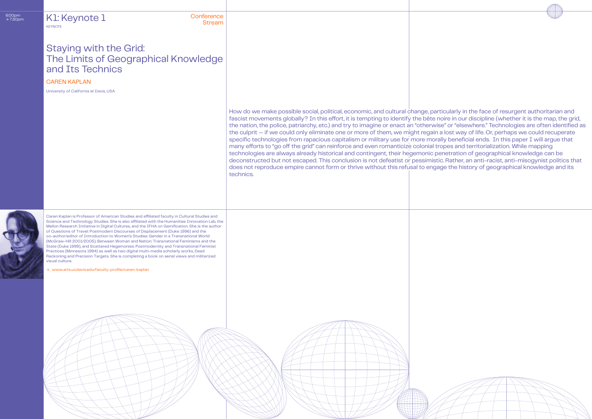## → 7:30pm Conference Stream K1: Keynote 1 **KEYNOTE**

## CAREN KAPLAN

How do we make possible social, political, economic, and cultural change, particularly in the face of resurgent authoritarian and fascist movements globally? In this effort, it is tempting to identify the bête noire in our discipline (whether it is the map, the grid, the nation, the police, patriarchy, etc.) and try to imagine or enact an "otherwise" or "elsewhere." Technologies are often identified as the culprit — if we could only eliminate one or more of them, we might regain a lost way of life. Or, perhaps we could recuperate specific technologies from rapacious capitalism or military use for more morally beneficial ends. In this paper I will argue that many efforts to "go off the grid" can reinforce and even romanticize colonial tropes and territorialization. While mapping technologies are always already historical and contingent, their hegemonic penetration of geographical knowledge can be deconstructed but not escaped. This conclusion is not defeatist or pessimistic. Rather, an anti-racist, anti-misogynist politics that does not reproduce empire cannot form or thrive without this refusal to engage the history of geographical knowledge and its technics.



University of California at Davis, USA

[→ www.arts.ucdavis.edu/faculty-profile/caren-kaplan](https://arts.ucdavis.edu/faculty-profile/caren-kaplan)



# Staying with the Grid: The Limits of Geographical Knowledge and Its Technics

Caren Kaplan is Professor of American Studies and affiliated faculty in Cultural Studies and Science and Technology Studies. She is also affiliated with the Humanities Innovation Lab, the Mellon Research Initiative in Digital Cultures, and the IFHA on Gamification. She is the author of Questions of Travel: Postmodern Discourses of Displacement (Duke 1996) and the co-author/editor of Introduction to Women's Studies: Gender in a Transnational World (McGraw-Hill 2001/2005), Between Woman and Nation: Transnational Feminisms and the State (Duke 1999), and Scattered Hegemonies: Postmodernity and Transnational Feminist Practices (Minnesota 1994) as well as two digital multi-media scholarly works, Dead Reckoning and Precision Targets. She is completing a book on aerial views and militarized visual culture.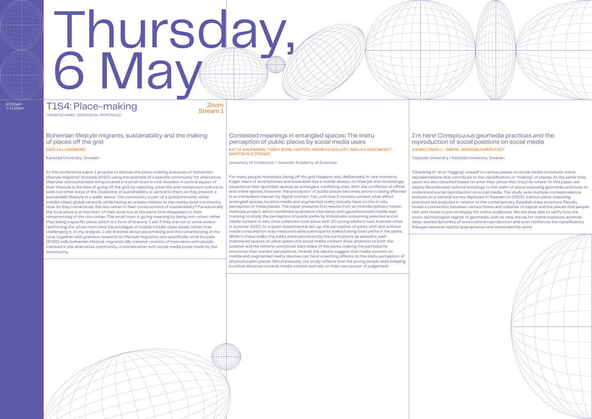University of Innsbruck / \*Austrian Academy of Sciences

Stream 1

# Thursday, 6 May

Bohemian lifestyle migrants, sustainability and the making of places off the grid

10:00am<br>→ 11:15am

MARTIN RUTZINGER Karlstad University, Sweden \*Uppsala University / Karlstad University / Karlstad University / Karlstad University / Karlstad University / Karlstad University / Karlstad University / Karlstad University / Karlstad Universit

## T1S4: Place-making Zoom THEMATIC PANEL (INDIVIDUAL PROPOSALS)

#### Contested meanings in entangled spaces: The insitu perception of public places by social media users EMILIA LJUNGBERG KATJA KAUFMANN, TABEA BORK-HÜFFER, ANDREAS KOLLERT, NIKLAS GUDOWSKY\*,

#### I'm here! Conspicuous geomedia practices and the reproduction of social positions on social media JOHAN LINDELL\*, ANDRÉ JANSSON, KARIN FAST



In this conference paper I propose to discuss the place-making practices of "bohemian lifestyle migrants" (Korpela 2020), using the example of a specific community for alternative lifestyles and sustainable living located in a small town in mid-Sweden. A central aspect of their lifestyle is the idea of going off the grid, by rejecting urban life and mainstream culture to seek out other ways of life. Questions of sustainability is central to them, as they present a sustainable lifestyle in a wider sense. The community is part of a (predominantly white middle-class) global network, while having an uneasy relation to the nearby local community. How do they romanticize the non-urban in their constructions of sustainability? Paradoxically the local place is at the heart of their work but at the same time disappears in their romanticizing of the non-urban. The small town is giving meaning by being non-urban rather than being a specific place, which is a form of erasure. I ask if they are not to some extent reinforcing the urban norm (and the privileges of mobile middle-class elites) rather than challenging it. In my analysis, I use theories about placemaking and the romanticizing of the rural, together with previous research on lifestyle migration and specifically what Korpela (2020) calls bohemian lifestyle migration. My material consists of interviews with people involved in the alternative community, in combination with social media posts made by the community.

"Checking in" at or "tagging" oneself to various places on social media constitute online representations that contribute to the classification, or "making", of places. At the same time, users are also classified based on what they (show that they) do where. In this paper, we deploy Bourdieusian cultural sociology to the realm of place-exposing geomedia practices to understand social reproduction on social media. The study uses multiple correspondence analysis on a national survey deployed in Sweden (n=3,902). Various place-exposing practices are analyzed in relation to the contemporary Swedish class structure. Results reveal a connection between various forms and volumes of capital and the places that people visit and chose to put on display for online audiences. We are thus able to verify how the socio-technological regime of geomedia, with its new arenas for online exposure, extends deep-seated dynamics of sociocultural reproduction and even reinforces the classificatory linkages between spatial appropriation and social identity work.



For many people nowadays, being off the grid happens only deliberately in rare moments. Eager users of smartphones and wearables live a mobile always-on lifestyle and increasingly experience their quotidian spaces as entangled, conflating ones. With the conflation of offline and online spaces, however, the perception of public places becomes prone to being affected in an immediate manner by digital content. Yet, until now it remains unclear what effect entangled spaces, locative media and augmented reality actually have on the in-situ perception of these places. The paper presents first results from an interdisciplinary mixedmethods project, which combined qualitative interviews with georeferenced mobile eyetracking to study the perception of public parks by individuals consuming selected social media content in-situ. Data collection took place with 20 young adults in two Austrian cities in summer 2020. In a quasi-experimental set-up, the perception of parks with and without media consumption was measured while participants walked along fixed paths in the parks. While in these walks the parks were perceived by the participants as peaceful, wellmaintained spaces of urban green, the social media content drew attention to both the positive and the hitherto unnoticed 'dark sides' of the parks, making the participants scrutinize their current perceptions. Overall, the results suggest that media content on mobile and augmented reality devices can have unsettling effects on the insitu perception of physical public places. Simultaneously, our study reflects that the young people seek keeping a critical distance towards media content and rely on their own power of judgement.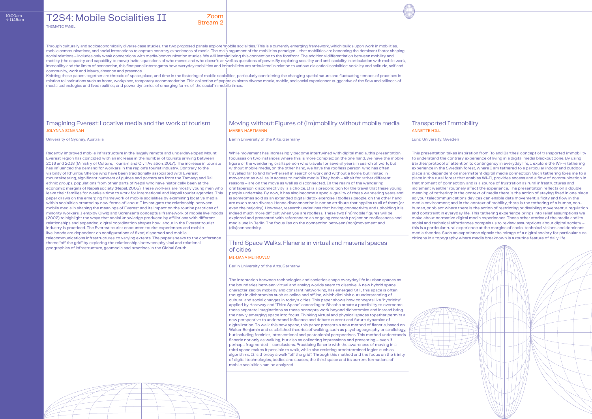Through culturally and socioeconomically diverse case studies, the two proposed panels explore 'mobile socialities.' This is a currently emerging framework, which builds upon work in mobilities, mobile communications, and social interactions to capture contrary experiences of media. The main argument of the mobilities paradigm – that mobilities are becoming the dominant factor shaping social relations – includes only weak connections with media/communication studies. We will instead bring this connection to the forefront. The additional differentiation between mobility and motility (the capacity and capability to move) invites questions of who moves and who doesn't, as well as questions of power. By exploring sociality and anti-sociality in articulation with mobile work, immobility and the limits of connection, this first panel interrogates how everyday mobilities and immobilities are articulated in relation to various dialectical socialities: sociality and solitude, self and community, work and leisure, absence and presence.

Knitting these papers together are threads of space, place, and time in the fostering of mobile socialities, particularly considering the changing spatial nature and fluctuating tempos of practices in relation to institutions such as home, workplace, temporary accommodation. This collection of papers explores diverse media, mobile, and social experiences suggestive of the flow and stillness of media technologies and lived realities, and power dynamics of emerging forms of 'the social' in mobile times.

#### Zoom Stream 2

**T2S4: Mobile Socialities II** THEMATIC PANEL

#### Imagining Everest: Locative media and the work of tourism Moving without: Figures of (im)mobility without mobile media Transported Immobility JOLYNNA SINANAN MAREN HARTMANN ANNETTE HILL

University of Sydney, Australia **Berlin University of the Arts**, Germany **Lund University of Sydney, Australia** Berlin University of the Arts, Germany **Lund University, Sweden** 

Third Space Walks. Flanerie in virtual and material spaces of cities

MIRJANA MITROVIC

Berlin University of the Arts, Germany

The interaction between technologies and societies shape everyday life in urban spaces as the boundaries between virtual and analog worlds seem to dissolve. A new hybrid space, characterized by mobility and constant networking, has emerged. Still, this space is often thought in dichotomies such as online and offline, which diminish our understanding of cultural and social changes in today's cities. This paper shows how concepts like "hybridity" applied by Haraway and "Third Space" according to Bhabha create a possibility to overcome these separate imaginations as these concepts work beyond dichotomies and instead bring the newly emerging space into focus. Thinking virtual and physical spaces together permits a new perspective to understand, influence and debate current and future dynamics of digitalization. To walk this new space, this paper presents a new method of flanerie, based on Walter Benjamin and established theories of walking, such as psychogeography or strollology, but including feminist, intersectional and postcolonial perspectives. This method understands flanerie not only as walking, but also as collecting impressions and presenting – even if perhaps fragmented – conclusions. Practicing flanerie with the awareness of moving in a third space makes it possible to walk, while also resisting predetermined logics such as algorithms. It is thereby a walk "off the grid". Through this method and the focus on the trinity of digital technologies, bodies and spaces, the third space and its current formations of mobile socialities can be analyzed.

Recently improved mobile infrastructure in the largely remote and underdeveloped Mount Everest region has coincided with an increase in the number of tourists arriving between 2016 and 2018 (Ministry of Culture, Tourism and Civil Aviation, 2017). The increase in tourists has influenced the demand for workers in the region's tourist industry. Contrary to the visibility of Khumbu Sherpa who have been traditionally associated with Everest mountaineering, significant numbers of guides and porters are from the Tamang and Rai ethnic groups, populations from other parts of Nepal who have historically been at the economic margins of Nepali society (Nepal, 2005). These workers are mostly young men who leave their families for weeks a time to work for international and Nepali tourist agencies. This paper draws on the emerging framework of mobile socialities by examining locative media within socialities created by new forms of labour. I investigate the relationship between mobile media in shaping the meanings of Everest and its impact on the routine practices of minority workers. I employ Olwig and Sorensen's conceptual framework of mobile livelihoods (2002) to highlight the ways that social knowledge produced by affiliations with different relationships and expanded, digital coordination shapes how labour in the Everest tourist industry is practiced. The Everest tourist encounter: tourist experiences and mobile livelihoods are dependent on configurations of fixed, dispersed and mobile telecommunications infrastructures, to varying extents. The paper speaks to the conference theme "off the grid" by exploring the relationships between physical and relational geographies of infrastructure, geomedia and practices in the Global South.

While movement has increasingly become intertwined with digital media, this presentation focusses on two instances where this is more complex: on the one hand, we have the mobile figure of the wandering craftsperson who travels for several years in search of work, but without mobile media, on the other hand, we have the roofless person, who has often travelled far to find him-/herself in search of work and without a home, but limited in movement as well as in access to mobile media. They both – albeit for rather different reasons – are on the move as well as disconnected. In the realm of the wandering craftsperson, disconnectivity is a choice. It is a precondition for the travel that these young people undertake. By now, it has also become a special quality of these wandering years and is sometimes sold as an extended digital detox exercise. Roofless people, on the other hand, are much more diverse. Hence disconnection is not an attribute that applies to all of them (or even the majority). However, research underlines that having connectivity and upholding it is indeed much more difficult when you are roofless. These two (im)mobile figures will be explored and presented with reference to an ongoing research project on rooflessness and media use in Berlin. The focus lies on the connection between (non)movement and (dis)connectivity.

This presentation takes inspiration from Roland Barthes' concept of transported immobility to understand the contrary experience of living in a digital media blackout zone. By using Barthes' protocol of attention to contingency in everyday life, I explore the Wi-Fi tethering experience in the Swedish forest, where I am tethered to a particular indoor and outdoor place and dependent on intermittent digital media connection. Such tethering fixes me to a place in the rural forest that enables Wi-Fi, provides access and a flow of communication in that moment of connection, and is a source of frustration as rural infrastructures and inclement weather routinely affect the experience. The presentation reflects on a double meaning of tethering: in the context of media there is the action of staying fixed in one place so your telecommunications devices can enable data movement, a fixity and flow in the media environment; and in the context of mobility, there is the tethering of a human, nonhuman, or object where there is the action of restricting or disabling movement, a regulation and constraint in everyday life. This tethering experience brings into relief assumptions we make about normative digital media experiences. These other stories of the media and its social and technical affordances compels us to review assumptions about digital society – this is a particular rural experience at the margins of socio-technical visions and dominant media theories. Such an experience signals the mirage of a digital society for particular rural citizens in a topography where media breakdown is a routine feature of daily life.



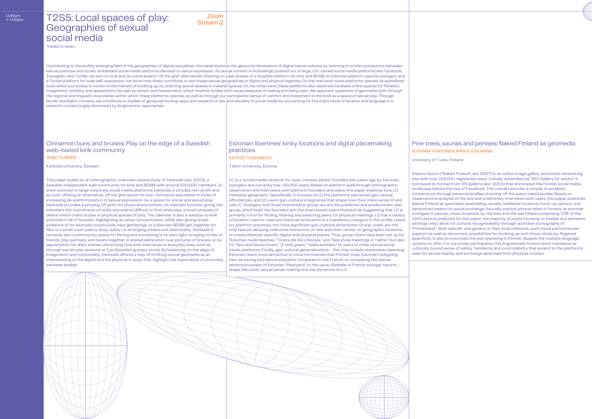Contributing to the swiftly emerging field of the geographies of digital sexualities, this panel explores the geosocial dimensions of digital sexual cultures by zooming in on the connections between sexual practices and locally embedded social media platforms devoted to sexual expression. As sexual content is increasingly pushed out of large, U.S.-owned social media platforms like Facebook, Instagram, and Tumblr, we turn to local and (to some extent) "off the grid" alternatives. Drawing on case studies of a Swedish platform for kink and BDSM, an Estonian platform used by swingers, and a Finnish platform for nude self-expression, we show how these contribute to and shape sexual geographies in digital and physical registers. On the one hand, these platforms operate as spatialized tools which put bodies in motion in the interest of hooking up, by orienting sexual desires in material spaces. On the other hand, these platforms also assemble localized online spaces for flirtation, imagination, visibility, and appreciation (as well as sexism and harassment), which interlink bodies with visual pleasures of seeing and being seen. We approach questions of geomedia both through the regional and linguistic boundaries within which these platforms operate, as well as through our participants' sense of comfort and investment in the local as a space of sexual play. Through Nordic and Baltic contexts, we contribute to studies of geosocial hookup apps and research of sex and sexuality in social media by accounting for the importance of location and language in a research context largely dominated by Anglocentric approaches.

## T2S5: Local spaces of play: Geographies of sexual social media

This paper builds on an ethnographic, interview-based study of Darkside (est. 2003), a Swedish independent web community for kink and BDSM with around 200.000 members. In stark contrast to large corporate social media platforms, Darkside is virtually non-profit and as such offering an alternative, off the grid option for non-normative sexualities in times of increasing de-platformization of sexual expression. As a space for social and sexual play, Darkside provides a jumping off point for physical encounters, its calendar function giving the members the coordinates of clubs and events difficult to find otherwise, a local compass of desire which orient bodies in physical spaces of play. The calendar is also a window to kink activities in all of Sweden, highlighting an urban concentration, while also giving ample evidence of for example countryside rope gatherings, or a discreet BDSM get together for 'fika' in a small-town pastry shop, subtly re-arranging urban/rural relationality. Darkside is certainly also a community space for flirting and socializing in its own right, bringing circles of friends, play partners, and lovers together in shared admiration over pictures of bruises, or by appreciation for diary entries chronicling how kink intervenes in everyday lives, such as through secret play sessions at Ica (Swedish grocery store). By balancing on the edge of imagination and corporeality, Darkside affords a way of thinking sexual geomedia as an interweaving of the digital and the physical in ways that highlight the importance of proximity between bodies

Zoom Stream 2

### Cinnamon buns and bruises: Play on the edge of a Swedish web-based kink community

Karlstad University, Sweden Tallinn University, Estonia

### Estonian libertines' kinky locations and digital placemaking practices

THEMATIC PANEL

## Pine trees, saunas and penises: Naked Finland as geomedia SUSANNA PAASONEN, MARIA VIHLMANG

JENNY SUNDÉN KATRIN TIIDENBERG

University of Turku, Finland

LC is a "social media network for open-minded adults" founded two years ago by Estonian swingers and currently has ~50.000 users. Based on platform walkthrough, ethnographic observation and interviews with platform founders and users, this paper explores how LC mediates geography. Specifically, it focuses on (1) the platforms' perceived geo-sexual affordances, and (2) users' geo-cultural imaginaries that shape how they make sense of and use LC. Swingers and those interested in group sex are the preferred and predominant user group, which both the founders and the interviewed users interpret as suggesting that LC is primarily a tool for finding, filtering and selecting peers for physical meetings. LC has a variety of location-centric rules and features as location is a mandatory category in the profile. Users' on-platform practices, too, have significant geo-cultural dimensions. Group-chats are the only feature allowing collective interaction on site and often center on geographic locations, or create lifestyle-specific digital and physical places. Thus, group chats have been set up for "Estonian nude beaches," "Costa del Sol Lifestyle," and "Gloryhole meetings in Tallinn," but also for "Spa and Sauna lovers," "X club goers," "webcammers," or users of other sexual social media platforms. Finally, geo-cultural generalizations – this may include statements deeming Estonian users more attractive or more introverted than Finnish ones, Estonian clubgoing men as having bad sexual etiquette compared to the French, or comparing the sexual adventurousness of Estonian "lifestylers" to the usual clientele of French swinger resorts –





Alaston Suomi ("Naked Finland", est. 2007) is an online image gallery and social networking site with over 100.000 registered users. Initially advertised as "IRC Gallery for adults", it borrowed its format from IRCgalleria (est. 2000) that dominated the Finnish social media landscape before the rise of Facebook. The overall rationale is simple: to establish connections through personal profiles showing off the users' naked bodies. Based on observational analysis of the site and preliminary interviews with users, this paper examines Naked Finland as geomedia assembling visually mediated locations, hook-up options, and networked means for social exchange. Sexually explicit photos taken in forests, at summer cottages, in saunas, urban locations, by the lake and the sea (these comprising 7,5% of the 1,600 photos analyzed for this paper; the majority of posts focusing on bodies and domestic settings only), allow for cultural recognizability through quotidian iconography of "Finnishness". Both specific and generic in their local referents, such visual performances support, as well as document, possibilities for hooking up with those close-by. Regional specificity is also pronounced the site operating in Finnish, despite the multiple language options on offer. For our study participants, this linguistically limited reach translates as culturally bound sense of safety, familiarity and controllability that extend to the platform's uses for sexual display and exchange detached from physical contact.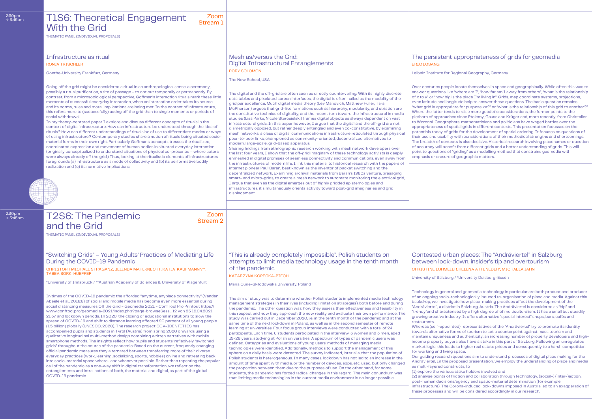| 2:30pm<br>$\rightarrow$ 3:45pm | Zoom<br><b>T1S6: Theoretical Engagement</b><br>Stream 1<br><b>With the Grid</b><br>THEMATIC PANEL (INDIVIDUAL PROPOSALS)                                                                                                                                                                                                                                                                                                                                                                                                                                                                                                                                                                                                                                                                                                                                                                                                                                                                                                                                                                                                                                                                                                                                                                                                                                                                                                                                                                                                                                                                                                                                                                                                                                                                                      |                                                                                                                                                                                                                                                                                                                                                                                                                                                                                                                                                                                                                                                                                                                                                                                                                                                                                                                                                                                                                                                                                                                                                                                                                                                                                                                                                                                                                                                                                                                                                                                                                                                                                                                                                                                                                                                       |                                                                                                                                                                                                                                                                                                                                                                                                                                                                                                                                                                                  |
|--------------------------------|---------------------------------------------------------------------------------------------------------------------------------------------------------------------------------------------------------------------------------------------------------------------------------------------------------------------------------------------------------------------------------------------------------------------------------------------------------------------------------------------------------------------------------------------------------------------------------------------------------------------------------------------------------------------------------------------------------------------------------------------------------------------------------------------------------------------------------------------------------------------------------------------------------------------------------------------------------------------------------------------------------------------------------------------------------------------------------------------------------------------------------------------------------------------------------------------------------------------------------------------------------------------------------------------------------------------------------------------------------------------------------------------------------------------------------------------------------------------------------------------------------------------------------------------------------------------------------------------------------------------------------------------------------------------------------------------------------------------------------------------------------------------------------------------------------------|-------------------------------------------------------------------------------------------------------------------------------------------------------------------------------------------------------------------------------------------------------------------------------------------------------------------------------------------------------------------------------------------------------------------------------------------------------------------------------------------------------------------------------------------------------------------------------------------------------------------------------------------------------------------------------------------------------------------------------------------------------------------------------------------------------------------------------------------------------------------------------------------------------------------------------------------------------------------------------------------------------------------------------------------------------------------------------------------------------------------------------------------------------------------------------------------------------------------------------------------------------------------------------------------------------------------------------------------------------------------------------------------------------------------------------------------------------------------------------------------------------------------------------------------------------------------------------------------------------------------------------------------------------------------------------------------------------------------------------------------------------------------------------------------------------------------------------------------------------|----------------------------------------------------------------------------------------------------------------------------------------------------------------------------------------------------------------------------------------------------------------------------------------------------------------------------------------------------------------------------------------------------------------------------------------------------------------------------------------------------------------------------------------------------------------------------------|
|                                | Infrastructure as ritual<br><b>RONJA TRISCHLER</b><br>Goethe-University Frankfurt, Germany<br>Going off the grid might be considered a ritual in an anthropological sense: a ceremony,<br>possibly a ritual purification, a rite of passage - to opt out temporally or permanently. By<br>contrast, from a microsociological perspective, Goffman's interaction rituals mark these little<br>moments of successful everyday interaction, when an interaction order takes its course -<br>and its norms, rules and moral implications are being met. In the context of infrastructure,<br>this refers more to (successfully) acting off the grid than to single moments or periods of<br>social withdrawal.<br>In my theory-centered paper I explore and discuss different concepts of rituals in the<br>context of digital infrastructure: How can infrastructure be understood through the idea of<br>rituals? How can different understandings of rituals be of use to differentiate modes or ways<br>of using infrastructure? Contemporary studies share a notion of rituals being situated socio-<br>material forms in their own right. Particularly Goffmans concept stresses the ritualized,<br>coordinated expression and movement of human bodies in situated everyday interaction<br>(originally conceptualized to understand situations of physical co-presence - where actors<br>were always already off the grid.) Thus, looking at the ritualistic elements of infrastructures<br>foregrounds (a) infrastructure as a mode of collectivity and (b) its performative bodily<br>realization and (c) its normative implications.                                                                                                                                                                    | Mesh as/versus the Grid:<br><b>Digital Infrastructural Entanglements</b><br><b>RORY SOLOMON</b><br>The New School, USA<br>The digital and the off-grid are often seen as directly countervailing. With its highly discrete<br>data tables and pixelated screen interfaces, the digital is often hailed as the modality of the<br>grid par excellence. Much digital media theory (Lev Manovich, Matthew Fuller, Tara<br>McPherson) argues that grid-like formations such as hierarchy, modularity, and striation are<br>the constitutive technics of digitality, and the recent turn toward the infrastructural in media<br>studies (Lisa Parks, Nicole Starosielski) frames digital objects as always dependent on vast<br>infrastructural grids. In this paper however, I argue that the digital and the off-grid are not<br>diametrically opposed, but rather deeply entangled and even co-constitutive, by examining<br>mesh networks: a class of digital communications infrastructure reticulated through physical<br>peer-to-peer links, championed as community-oriented, decentralized alternatives to<br>modern, large-scale, grid-based apparatus.<br>Sharing findings from ethnographic research working with mesh network developers over<br>the last four years, I show that the off-grid imaginary of these technology activists is deeply<br>enmeshed in digital promises of seamless connectivity and communications, even away from<br>the infrastructures of modern life. I link this material to historical research with the papers of<br>internet pioneer Paul Baran, best known as the inventor of packet switching and the<br>decentralized network. Examining archival materials from Baran's 1980s venture, presaging                                                                                                        | The persisten<br><b>ERIC LOSANG</b><br>Leibniz Institute for<br>Over centuries peop<br>answer questions lik<br>of x to y" or "how big<br>even latitude and lor<br>"what grid is approp<br>Where the latter ten<br>plethora of approacl<br>to Woronoi. Geograp<br>appropriateness of s<br>potentials today of g<br>their use and usabilit<br>The breadth of cont<br>of accuracy will ben<br>point to questions of<br>emphasis or erasure                                                                                                                                          |
| 2:30pm<br>$\rightarrow$ 3:45pm | Zoom<br><b>T2S6: The Pandemic</b><br><b>Stream 2</b><br>and the Grid<br>THEMATIC PANEL (INDIVIDUAL PROPOSALS)                                                                                                                                                                                                                                                                                                                                                                                                                                                                                                                                                                                                                                                                                                                                                                                                                                                                                                                                                                                                                                                                                                                                                                                                                                                                                                                                                                                                                                                                                                                                                                                                                                                                                                 | smart- and micro-grids, to create a mesh network to automate monitoring the electrical grid,<br>I argue that even as the digital emerges out of highly gridded epistemologies and<br>infrastructures, it simultaneously orients activity toward post-grid imaginaries and grid<br>displacement.                                                                                                                                                                                                                                                                                                                                                                                                                                                                                                                                                                                                                                                                                                                                                                                                                                                                                                                                                                                                                                                                                                                                                                                                                                                                                                                                                                                                                                                                                                                                                       |                                                                                                                                                                                                                                                                                                                                                                                                                                                                                                                                                                                  |
|                                | "Switching Grids" – Young Adults' Practices of Mediating Life<br>During the COVID-19 Pandemic<br>CHRISTOPH MICHAEL STRAGANZ, BELINDA MAHLKNECHT, KATJA KAUFMANN*/**,<br><b>TABEA BORK-HUEFFER</b><br>*University of Innsbruck /**Austrian Academy of Sciences & University of Klagenfurt<br>In times of the COVID-19 pandemic the afforded "anytime, anyplace connectivity" (Vanden<br>Abeele et al., 2018:6) of social and mobile media has become even more essential during<br>social distancing measures Off the Grid - Geomedia 2021 - ConfTool Pro Printout https://<br>www.conftool.pro/geomedia-2021/index.php?page=browseSess 12 von 25 19.04.2021,<br>21:37 and lockdown periods. In 2020, the closing of educational institutions to slow the<br>spread of COVID-19 and shift to distance learning affected 90 percent of all young people<br>(1.5 billion) globally (UNESCO, 2020). The research project COV-IDENTITIES has<br>accompanied pupils and students in Tyrol (Austria) from spring 2020 onwards using a<br>qualitative longitudinal multi-method design combining written narratives with mobile<br>smartphone methods. The insights reflect how pupils and students' reflexively "switched<br>grids" throughout the course of the pandemic: Based on the current, frequently changing<br>official pandemic measures they alternated between transferring more of their diverse<br>everyday practices (work, learning, socializing, sports, hobbies) online and retreating back<br>into socio-material space where- and whenever possible. Rather than repeating the popular<br>call of the pandemic as a one-way shift in digital transformation, we reflect on the<br>entanglements and intra-actions of both, the material and digital, as part of the global<br>COVID-19 pandemic. | "This is already completely impossible". Polish students on<br>attempts to limit media technology usage in the tenth month<br>of the pandemic<br>KATARZYNA KOPECKA-PIECH<br>Maria Curie-Skłodowska University, Poland<br>The aim of study was to determine whether Polish students implemented media technology<br>management strategies in their lives (including limitation strategies), both before and during<br>the pandemic. The other question was: how they assess their effectiveness and feasibility in<br>this respect and how they approach the new reality and evaluate their own performance. The<br>study was carried out in December 2020, i.e. in the tenth month of the pandemic and at the<br>same time of the next lockdown in Poland, as well as in the second semester of remote<br>learning at universities. Four focus group interviews were conducted with a total of 24<br>participants. Each time, 6 students participated in the interview: 3 women and 3 men, aged<br>19-26 years, studying at Polish universities. A spectrum of types of pandemic users was<br>defined. Categories and evaluations of young users' methods of managing media<br>technologies were identified. Additionally, methods to support the management of this<br>sphere on a daily basis were detected. The survey indicated, inter alia, that the population of<br>Polish students is heterogeneous. In many cases, lockdown has not led to an increase in the<br>amount of time spent with media, or the number of devices, apps, etc. used, but only changed<br>the proportion between them due to the purposes of use. On the other hand, for some<br>students, the pandemic has forced radical changes in this regard. The main conundrum was<br>that limiting media technologies in the current media environment is no longer possible. | <b>Contested url</b><br>between lock<br><b>CHRISTINE LOHME</b><br>University of Salzbur<br>Technology in gener<br>of an ongoing socio-<br>backdrop, we invest<br>"Andräviertel", a distr<br>"trendy" and charact<br>growing creative inc<br>restaurants.<br>Whereas (self-appoi<br>towards alternative<br>maintain uniqueness<br>income property buy<br>market logic, this lea<br>for working and livin<br>Our guiding researcl<br>Andräviertel. In the<br>as multi-layered con<br>(1) explore the varior<br>(2) analyse points of<br>post-human decisio<br>infrastructure). The |
|                                |                                                                                                                                                                                                                                                                                                                                                                                                                                                                                                                                                                                                                                                                                                                                                                                                                                                                                                                                                                                                                                                                                                                                                                                                                                                                                                                                                                                                                                                                                                                                                                                                                                                                                                                                                                                                               |                                                                                                                                                                                                                                                                                                                                                                                                                                                                                                                                                                                                                                                                                                                                                                                                                                                                                                                                                                                                                                                                                                                                                                                                                                                                                                                                                                                                                                                                                                                                                                                                                                                                                                                                                                                                                                                       | these processes and                                                                                                                                                                                                                                                                                                                                                                                                                                                                                                                                                              |

 $2:30 \text{pm}$ <br> $\rightarrow 3:45 \text{pm}$ 

 $2:30$ pm<br> $\rightarrow 3:45$ pn

## t appropriateness of grids for geomedia

Regional Geography, Germany

ole locate themselves in space and geographically. While often this was to  $\kappa$ e "where am I", "how far am I away from others", "what is the relationship g is the place I'm living in". Grids, map coordinate systems, projections, ngitude help to answer these questions. The basic question remains riate for purpose xx?" or "what is the relationship of this grid to another?". ds to raise more geodetic considerations, the former points to the hes since Ptolemy, Gauss and Krüger and, more recently, from Christaller phers, mathematicians and politicians have waged battles over the spatial grids in different contexts. This presentation focusses on the grids for the development of spatial ordering. It focuses on questions of ty with considerations of their methodical strengths and shortcomings. texts is also decisive. Historical research involving placenames or question efit from different grids and a better understanding of grids. This will f "griding" as a modelling method that constrains geomedia with e of geographic matters.

ban places: The "Andräviertel" in Salzburg -down, insider's tip and overtourism IER, HELENA ATTENEDER\*, MICHAELA JAHN

Irg / \*University Duisburg-Essen

ral and geomedia technology in particular are both product and producer -technologically induced re-organisation of place and media. Against this tigate how place-making practices affect the development of the rict in Salzburg, Austria. The Andräviertel is considered as "hip" and erised by a high degree of of multiculturalism. It has a small but steadily dustry. It offers alternative "special interest" shops, bars, cafés and

inted) representatives of the "Andräviertel" try to promote its identity forms of tourism to set a counterpoint against mass tourism and s and authenticity, an increasing number of property developers and highyers also have a stake in this part of Salzburg. Following an unregulated ads to higher real estate prices and consequently to a harsh competition ig space.

h questions aim to understand processes of digital place making for the proposed presentation, we employ the understanding of place and media as tructs, to

us stake holders involved and

f friction and collaboration through technology, (social-) (inter-)action,

pos/agency and spatio-material determination (for example

Corona-induced lock-downs imposed in Austria led to an exaggeration of d will be considered accordingly in our research.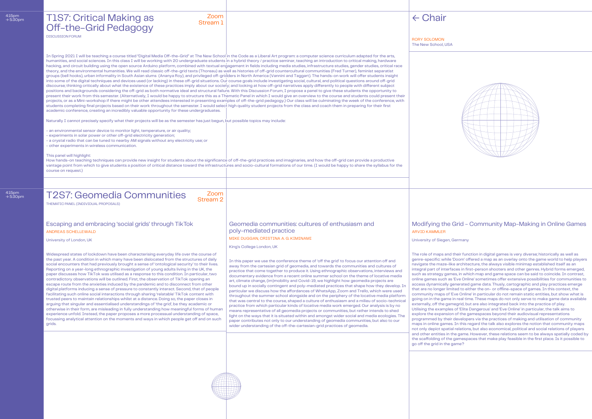4:15pm  $\rightarrow$  5:30pm

# T2S7: Geomedia Communities 200m

University of London, UK

King's College London, UK

University of Siegen, Germany

Widespread states of lockdown have been characterising everyday life over the course of the past year. A condition in which many have been dislocated from the structures of daily social encounters that had previously brought a sense of 'ontological security' to their lives. Reporting on a year-long ethnographic investigation of young adults living in the UK, the paper discusses how TikTok was utilised as a response to this condition. In particular, two contradictory observations will be outlined. First, the observation of TikTok opening an escape route from the anxieties induced by the pandemic and to disconnect from other digital platforms inducing a sense of pressure to constantly interact. Second, that of people facilitating such online social interactions through sharing 'relatable' TikTok content with trusted peers to maintain relationships whilst at a distance. Doing so, the paper closes in arguing that singular and essentialised understandings of 'the grid', be they academic or otherwise in their form, are misleading in fully understanding how meaningful forms of human experience unfold. Instead, the paper proposes a more processual understanding of space, focussing analytical attention on the moments and ways in which people get off and on such grids.

In this paper we use the conference theme of 'off the grid' to focus our attention off and away from the cartesian grid of geomedia, and towards the communities and cultures of practice that come together to produce it. Using ethnographic observations, interviews and documentary evidence from a recent online summer school on the theme of locative media art, climate change, (im)mobility and Covid-19, we highlight how geomedia projects are bound up in socially contingent and poly-mediated practices that shape how they develop. In particular we discuss how the affordances of WhatsApp, Zoom and Trello, which were used throughout the summer school alongside and on the periphery of the locative media platform that was central to the course, shaped a culture of enthusiasm and a milieu of socio-technical practice from which particular kinds of locative media work emerged. Our analysis is by no means representative of all geomedia projects or communities, but rather intends to shed light on the ways that it is situated within and amongst wider social and media ecologies. The paper contributes not only to our understanding of geomedia communities, but also to our wider understanding of the off-the-cartesian-grid practices of geomedia.

The role of maps and their function in digital games is very diverse; historically as well as genre-specific: while 'Doom' offered a map as an overlay onto the game world to help players navigate the maze-like architecture, the always visible minimap established itself as an integral part of interfaces in first-person shooters and other genres. Hybrid forms emerged, such as strategy games, in which map and game space can be said to coincide. In contrast, online games such as 'Eve Online' sometimes offer extensive possibilities for communities to access dynamically generated game data. Thusly, cartographic and play practices emerge that are no longer limited to either the on- or offline-space of games. In this context, the community maps of 'Eve Online' in particular do not remain static entities, but show what is going on in the game in real time. These maps do not only serve to make game data available externally, off the gamegrid, but are also integrated back into the practice of play. Utilising the examples of 'Elite Dangerous' and 'Eve Online' in particular, the talk aims to explore the expansion of the gamespaces beyond their audiovisual representations programmed by their developers via the practices of making and utilisation of community maps in online games. In this regard the talk also explores the notion that community maps not only depict spatial relations, but also economical, political and social relations of players and other entities in the game. However, these relations seem to be always spatially coded by the scaffolding of the gamespaces that make play feasible in the first place. Is it possible to go off the grid in the game?





| T1S7: Critical Making as<br>Off-the-Grid Pedagogy                                                                                                                                                                                                                                                                                                                                                                                                                                                                                                                                                                                                                                                                                                                                                                                                                                                                                                                                                                                                                                                                                                                                                                                                                                                                                                                                                                                                                                                                                                                                                                                                                                                                                                                                                                                                                                                                                                                                                                                                                                                                                                                                                                                                                                                                                                                                                                                                                                                                                                                                                                                                                                                                                          | Zoom<br>Stream 1 |                                                                                                                                                                                                                                                                                                                                                                                          | $\leftarrow$ Chair                         |
|--------------------------------------------------------------------------------------------------------------------------------------------------------------------------------------------------------------------------------------------------------------------------------------------------------------------------------------------------------------------------------------------------------------------------------------------------------------------------------------------------------------------------------------------------------------------------------------------------------------------------------------------------------------------------------------------------------------------------------------------------------------------------------------------------------------------------------------------------------------------------------------------------------------------------------------------------------------------------------------------------------------------------------------------------------------------------------------------------------------------------------------------------------------------------------------------------------------------------------------------------------------------------------------------------------------------------------------------------------------------------------------------------------------------------------------------------------------------------------------------------------------------------------------------------------------------------------------------------------------------------------------------------------------------------------------------------------------------------------------------------------------------------------------------------------------------------------------------------------------------------------------------------------------------------------------------------------------------------------------------------------------------------------------------------------------------------------------------------------------------------------------------------------------------------------------------------------------------------------------------------------------------------------------------------------------------------------------------------------------------------------------------------------------------------------------------------------------------------------------------------------------------------------------------------------------------------------------------------------------------------------------------------------------------------------------------------------------------------------------------|------------------|------------------------------------------------------------------------------------------------------------------------------------------------------------------------------------------------------------------------------------------------------------------------------------------------------------------------------------------------------------------------------------------|--------------------------------------------|
| <b>DISCUSSION FORUM</b>                                                                                                                                                                                                                                                                                                                                                                                                                                                                                                                                                                                                                                                                                                                                                                                                                                                                                                                                                                                                                                                                                                                                                                                                                                                                                                                                                                                                                                                                                                                                                                                                                                                                                                                                                                                                                                                                                                                                                                                                                                                                                                                                                                                                                                                                                                                                                                                                                                                                                                                                                                                                                                                                                                                    |                  |                                                                                                                                                                                                                                                                                                                                                                                          | <b>RORY SOLOMON</b><br>The New School, USA |
| In Spring 2021 I will be teaching a course titled "Digital Media Off-the-Grid" at The New School in the Code as a Liberal Art program: a computer science curriculum adapted for the arts,<br>humanities, and social sciences. In this class I will be working with 20 undergraduate students in a hybrid theory / practice seminar, teaching an introduction to critical making, hardware<br>hacking, and circuit building using the open source Arduino platform, combined with textual engagement in fields including media studies, infrastructure studies, gender studies, critical race<br>theory, and the environmental humanities. We will read classic off-the-grid texts (Thoreau) as well as histories of off-grid countercultural communities (Fred Turner), feminist separatist<br>groups (bell hooks), urban informality in South Asian slums (Ananya Roy), and privileged off-gridders in North America (Vannini and Taggart). The hands-on work will offer students insight<br>into some of the digital techniques and devices used (or lacking) in these off-grid situations. Our course goals include investigating social, cultural, and political questions around off-grid<br>discourse; thinking critically about what the existence of these practices imply about our society; and looking at how off-grid narratives apply differently to people with different subject<br>positions and backgrounds considering the off-grid as both normative ideal and structural failure. With this Discussion Forum, I propose a panel to give these students the opportunity to<br>present their work from this semester. (Alternatively, I would be happy to structure this as a Thematic Panel in which I would give an overview to the course and students could present their<br>projects, or as a Mini-workshop if there might be other attendees interested in presenting examples of off-the-grid pedagogy.) Our class will be culminating the week of the conference, with<br>students completing final projects based on their work throughout the semester. I would select high quality student projects from the class and coach them in preparing for their first<br>academic conference, creating an incredibly valuable opportunity for these undergraduates.<br>Naturally I cannot precisely specify what their projects will be as the semester has just begun, but possible topics may include:<br>- an environmental sensor device to monitor light, temperature, or air quality;<br>- experiments in solar power or other off-grid electricity generation;<br>- a crystal radio that can be tuned to nearby AM signals without any electricity use; or<br>- other experiments in wireless communication. |                  |                                                                                                                                                                                                                                                                                                                                                                                          |                                            |
| This panel will highlight:<br>course on request.)                                                                                                                                                                                                                                                                                                                                                                                                                                                                                                                                                                                                                                                                                                                                                                                                                                                                                                                                                                                                                                                                                                                                                                                                                                                                                                                                                                                                                                                                                                                                                                                                                                                                                                                                                                                                                                                                                                                                                                                                                                                                                                                                                                                                                                                                                                                                                                                                                                                                                                                                                                                                                                                                                          |                  | How hands-on teaching techniques can provide new insight for students about the significance of off-the-grid practices and imaginaries, and how the off-grid can provide a productive<br>vantage point from which to give students a position of critical distance toward the infrastructures and socio-cultural formations of our time. (I would be happy to share the syllabus for the |                                            |
|                                                                                                                                                                                                                                                                                                                                                                                                                                                                                                                                                                                                                                                                                                                                                                                                                                                                                                                                                                                                                                                                                                                                                                                                                                                                                                                                                                                                                                                                                                                                                                                                                                                                                                                                                                                                                                                                                                                                                                                                                                                                                                                                                                                                                                                                                                                                                                                                                                                                                                                                                                                                                                                                                                                                            |                  |                                                                                                                                                                                                                                                                                                                                                                                          |                                            |

Stream 2

## Escaping and embracing 'social grids' through TikTok ANDREAS SCHELLEWALD

THEMATIC PANEL (INDIVIDUAL PROPOSALS)

Geomedia communities: cultures of enthusiasm and poly-mediated practice

#### Modifying the Grid - Community Map-Making in Online Games

MIKE DUGGAN, CRISTINA A. G. KIMINAMI

ARVID KAMMLER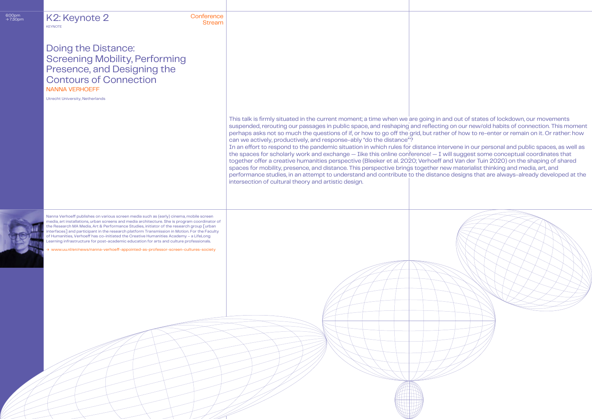| 6:00pm<br>→ 7:30pm | K2: Keynote 2<br><b>KEYNOTE</b>                                                                                                                                                                                                                                                                                                                                                                                                                                                                                                                                         | Conference<br><b>Stream</b> |                                                                                                                                                                                                                                                                                                                                                                                                                                                                                                                                                                                                                                                                                                                                                                                                                                                                                                                                                                                                                                                                                                                                                                                                                        |
|--------------------|-------------------------------------------------------------------------------------------------------------------------------------------------------------------------------------------------------------------------------------------------------------------------------------------------------------------------------------------------------------------------------------------------------------------------------------------------------------------------------------------------------------------------------------------------------------------------|-----------------------------|------------------------------------------------------------------------------------------------------------------------------------------------------------------------------------------------------------------------------------------------------------------------------------------------------------------------------------------------------------------------------------------------------------------------------------------------------------------------------------------------------------------------------------------------------------------------------------------------------------------------------------------------------------------------------------------------------------------------------------------------------------------------------------------------------------------------------------------------------------------------------------------------------------------------------------------------------------------------------------------------------------------------------------------------------------------------------------------------------------------------------------------------------------------------------------------------------------------------|
|                    | <b>Doing the Distance:</b><br><b>Screening Mobility, Performing</b><br>Presence, and Designing the<br><b>Contours of Connection</b><br><b>NANNA VERHOEFF</b><br><b>Utrecht University, Netherlands</b>                                                                                                                                                                                                                                                                                                                                                                  |                             |                                                                                                                                                                                                                                                                                                                                                                                                                                                                                                                                                                                                                                                                                                                                                                                                                                                                                                                                                                                                                                                                                                                                                                                                                        |
|                    |                                                                                                                                                                                                                                                                                                                                                                                                                                                                                                                                                                         |                             | This talk is firmly situated in the current moment; a time when we are going in and out of states of lockdown, our movements<br>suspended, rerouting our passages in public space, and reshaping and reflecting on our new/old habits of connection. This moment<br>perhaps asks not so much the questions of if, or how to go off the grid, but rather of how to re-enter or remain on it. Or rather: how<br>can we actively, productively, and response-ably "do the distance"?<br>In an effort to respond to the pandemic situation in which rules for distance intervene in our personal and public spaces, as well as<br>the spaces for scholarly work and exchange - Iike this online conference! - I will suggest some conceptual coordinates that<br>together offer a creative humanities perspective (Bleeker et al. 2020; Verhoeff and Van der Tuin 2020) on the shaping of shared<br>spaces for mobility, presence, and distance. This perspective brings together new materialist thinking and media, art, and<br>performance studies, in an attempt to understand and contribute to the distance designs that are always-already developed at the<br>intersection of cultural theory and artistic design. |
|                    | Nanna Verhoeff publishes on various screen media such as (early) cinema, mobile screen<br>media, art installations, urban screens and media architecture. She is program coordinator of<br>the Research MA Media, Art & Performance Studies, initiator of the research group [urban<br>interfaces] and participant in the research platform Transmission in Motion. For the Faculty<br>of Humanities, Verhoeff has co-initiated the Creative Humanities Academy - a LifeLong<br>Learning infrastructure for post-academic education for arts and culture professionals. |                             |                                                                                                                                                                                                                                                                                                                                                                                                                                                                                                                                                                                                                                                                                                                                                                                                                                                                                                                                                                                                                                                                                                                                                                                                                        |
|                    | > www.uu.nl/en/news/nanna-verhoeff-appointed-as-professor-screen-cultures-society                                                                                                                                                                                                                                                                                                                                                                                                                                                                                       |                             |                                                                                                                                                                                                                                                                                                                                                                                                                                                                                                                                                                                                                                                                                                                                                                                                                                                                                                                                                                                                                                                                                                                                                                                                                        |
|                    |                                                                                                                                                                                                                                                                                                                                                                                                                                                                                                                                                                         |                             |                                                                                                                                                                                                                                                                                                                                                                                                                                                                                                                                                                                                                                                                                                                                                                                                                                                                                                                                                                                                                                                                                                                                                                                                                        |
|                    |                                                                                                                                                                                                                                                                                                                                                                                                                                                                                                                                                                         |                             |                                                                                                                                                                                                                                                                                                                                                                                                                                                                                                                                                                                                                                                                                                                                                                                                                                                                                                                                                                                                                                                                                                                                                                                                                        |
|                    |                                                                                                                                                                                                                                                                                                                                                                                                                                                                                                                                                                         |                             |                                                                                                                                                                                                                                                                                                                                                                                                                                                                                                                                                                                                                                                                                                                                                                                                                                                                                                                                                                                                                                                                                                                                                                                                                        |

 $6:00p \rightarrow 7:30p$ 

## d out of states of lockdown, our movements on our new/old habits of connection. This moment of how to re-enter or remain on it. Or rather: how

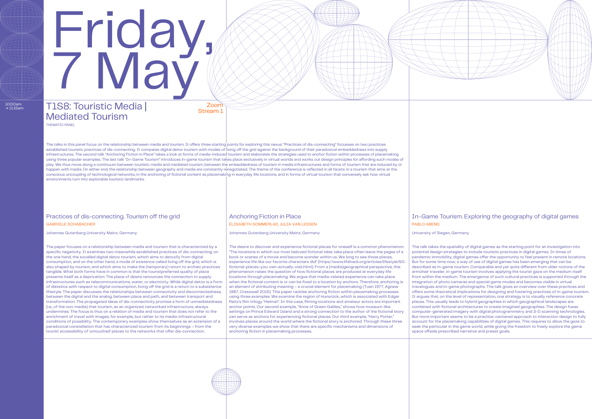# T1S8: Touristic Media Mediated Tourism

Zoor Stream 1

## Practices of dis-connecting. Tourism off the grid Anchoring Fiction in Place In-Game Tourism. Exploring the geography of digital games GABRIELE SCHABACHER ELISABETH SOMMERLAD, JULIA VAN LESSEN PABLO ABEND

THEMATIC PANEL

 $10:00$ am<br>  $\rightarrow$  11:15am

# Friday, 7 May

The talks in this panel focus on the relationship between media and tourism. It offers three starting points for exploring this nexus: "Practices of dis-connecting" focusses on two practices established touristic practices of dis-connecting. It compares digital detox tourism with modes of living off the grid against the background of their paradoxical embeddedness into supply infrastructures. The second talk "Anchoring Fiction in Place" takes a look at forms of media-induced tourism and elaborates the strategies used to anchor fiction within processes of placemaking using three popular examples. The last talk "In-Game Tourism" introduces in-game tourism that takes place exclusively in virtual worlds and works out design principles for affording such modes of play. We thus move along a continuum between touristic media and mediated tourism, between the embeddedness of tourism in media infrastructures and forms of tourism that are induced by or happen with media. On either end, the relationship between geography and media are constantly renegotiated. The theme of the conference is reflected in all facets: in a tourism that aims at the conscious uncoupling of technological networks, in the anchoring of fictional content as placemaking in everyday life locations, and in forms of virtual tourism that conversely ask how virtual environments turn into explorable touristic landmarks.

Johannes Gutenberg University Mainz, Germany Johannes Gutenberg University Mainz, Germany University of Siegen, Germany

The paper focuses on a relationship between media and tourism that is characterized by a specific negativity. It examines two meanwhile established practices of dis-connecting: on the one hand, the socalled digital detox tourism, which aims to detoxify from digital consumption, and on the other hand, a mode of existence called living off the grid, which is also shaped by tourism, and which aims to make the (temporary) return to archaic practices tangible. What both forms have in common is that the touristpreferred quality of place presents itself as a deprivation: The place of desire renounces the connection to supply infrastructures such as telecommunications, water, or electricity. While digital detox is a form of dietetics with respect to digital consumption, living off the grid is a return to a subsistence lifestyle. The paper discusses the relationships between connectivity and disconnectedness, between the digital and the analog, between place and path, and between transport and transformation. The propagated ideas of dis-connectivity promise a form of unmediatedness (i.e., of the non-media) that tourism, as an organized, networked infrastructure, always undermines. The focus is thus on a relation of media and tourism that does not refer to the enrichment of travel with images, for example, but rather to its media-infrastructural conditions of possibility. The contemporary examples show themselves as an extension of a paradoxical constellation that has characterized tourism from its beginnings – from the tourist accessibility of 'untouched' places to the networks that offer dis-connection.

The desire to discover and experience fictional places for oneself is a common phenomenon: "The locations in which our most beloved fictional tales take place often leave the pages of a book or scenes of a movie and become wonder within us. We long to see those places, experience life like our favorite characters did" (https://www.lifehack.org/articles/lifestyle/50 fictional-places-you-can-actually-visit.html). From a (media)geographical perspective, this phenomenon raises the question of how fictional places are produced at everyday life locations through placemaking. We argue that media-related experience can take place when the fictional content is or can be fixed to a location by anchors. Therefore, anchoring is an element of attributing meaning – a crucial element for placemaking (Tuan 1977, Agnew 1987, Cresswell 2015). This paper tackles anchoring fiction within placemaking processes using three examples: We examine the region of Hunsrück, which is associated with Edgar Reitz's film trilogy "Heimat". In this case, filming locations and amateur actors are important anchor points. Our second example, "Anne of Green Gables," shows how museum-like settings on Prince Edward Island and a strong connection to the author of the fictional story can serve as anchors for experiencing fictional places. Our third example, "Harry Potter," involves places around the world where the fictional story is anchored. Through these three very diverse examples we show that there are specific mechanisms and dimensions of anchoring fiction in placemaking processes.

The talk takes the spatiality of digital games as the starting point for an investigation into potential design strategies to include touristic practices in digital games. In times of pandemic immobility, digital games offer the opportunity to feel present in remote locations. But for some time now, a way of use of digital games has been emerging that can be described as in-game tourism. Comparable and yet quite different from older notions of the armchair traveler, in-game tourism involves applying the tourist gaze on the medium itself from within the medium. The emergence of such cultural practices is supported through the integration of photo cameras and special game modes and becomes visible in virtual travelogues and in-game photographs. The talk gives an overview over these practices and offers some theoretical implications for designing and fostering practices of in-game tourism. It argues that, on the level of representation, one strategy is to visually reference concrete places. This usually leads to hybrid geographies in which geographical landscapes are combined with fictional architectures to create imagined geographies. The design fuses computer-generated imagery with digital photogrammetry and 3-D scanning technologies. But more important seems to be a practice-centered approach to interaction design to fully account for the placemaking capabilities of digital games. This requires to allow the gaze to seek the particular in the game world, while giving the freedom to freely explore the game space offside prescribed narrative and preset goals.



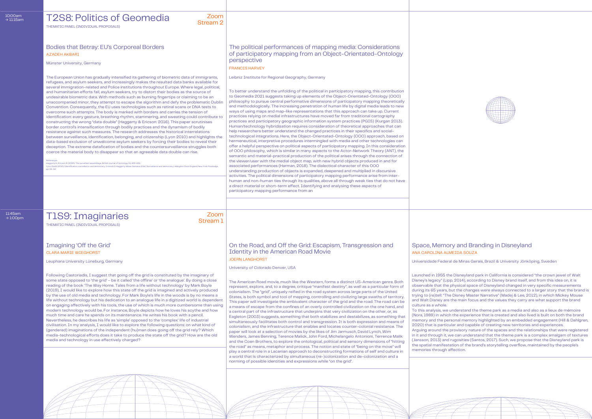11:45am<br> $\rightarrow$  1:00pm

THEMATIC PANEL (INDIVIDUAL PROPOSALS)

#### T2S8: Politics of Geomedia zoom Stream 2

### Bodies that Betray: EU's Corporeal Borders The political performances of mapping media: Considerations of participatory mapping from an Object-Orientated-Ontology perspective

# AZADEH AKBARI

#### FRANCIS HARVEY

University of Colorado Denver, USA

Leibniz Institute for Regional Geography, Germany

#### Münster University, Germany

Leuphana University Lüneburg, Germany Universidade Federal de Minas Gerais, Brazil & University Jönköping, Sweden

The American Road movie, much like the Western, forms a distinct US-American genre. Both represent, explore, and, to a degree, critique "manifest destiny", as well as a particular form of colonialism. The "grid", uniquely reified in the road system across large parts of the United States, is both symbol and tool of mapping, controlling and civilizing large swaths of territory. This paper will investigate the ambivalent character of the grid and the road: The road can be a means of escape from the confines of an overly controlled civilization on the one hand, and a central part of the infrastructure that underpins that very civilization on the other, or, as Eagleton (2003) suggests, something that both stabilizes and destabilizes, as something that simultaneously facilitates both control and transgression. It is both expression and means of colonialism, and the infrastructure that enables and locates counter-colonial resistance. The paper will look at a selection of movies by the likes of Jim Jarmusch, David Lynch, Wim Wenders, James Benning, Terence Malick, John Ford, Michelangelo Antonioni, Terrence Malik and the Coen Brothers, to explore the ontological, political and sensory dimensions of "hitting the road" as means, metaphor and process. The notion and state of "being on the move" will play a central role in a Lacanian approach to deconstructing formations of self and culture in a world that is characterized by simultaneous (re-)colonization and de-colonization and a norming of possible identities and expressions while "on the grid".

To better understand the unfolding of the political in participatory mapping, this contribution to Geomedia 2021 suggests taking up elements of the Object-Orientated-Ontology (OOO) philosophy to pursue central performative dimensions of participatory mapping theoretically and methodologically. The increasing penetration of human life by digital media leads to new ways of using maps and map-like representations that this approach can take up. Current practices relying on medial infrastructures have moved far from traditional cartography practices and participatory geographic information system practices (PGIS) (Kurgan 2013). Human/technology hybridisation requires consideration of theoretical approaches that can help researchers better understand the changed practices in their specifics and socialtechnological integrations. Here, the Object-Orientated-Ontology (OOO) approach, based on hermeneutical, interpretive procedures intermingled with media and other technologies can offer a helpful perspective on political aspects of participatory mapping. In this consideration of OOO philosophy, which is similar in many aspects to the Actor-Network Theory (ANT), the semantic and material-practical production of the political arises through the connection of the viewer/user with the medial object map, with new hybrid objects produced in and for associated performances (Harman, 2018). The dialectical character of this OOO understanding production of objects is expanded, deepened and multiplied in discursive activities. The political dimensions of participatory mapping performance arise from interhuman and non-human ties through its qualities, above all through weak ties that do not have a direct material or short-term effect. Identifying and analysing these aspects of participatory mapping performance from an

#### Imagining 'Off the Grid' Space, Memory and Branding in Disneyland CLARA MARIE WIEGHORST CONSULTED A SOUZA JOERN LANGHORST

## **T1S9: Imaginaries** Zoom THEMATIC PANEL (INDIVIDUAL PROPOSALS)

The European Union has gradually intensified its gathering of biometric data of immigrants, refugees, and asylum seekers, and increasingly makes the resulted data banks available for several immigration-related and Police institutions throughout Europe. Where legal, political, and humanitarian efforts fail, asylum seekers, try to distort their bodies as the source of undesirable biometric data. With methods such as burning fingertips or claiming to be an unaccompanied minor, they attempt to escape the algorithm and defy the problematic Dublin Convention. Consequently, the EU uses technologies such as retinal scans or DNA tests to overcome such attempts. The body is marked with borders and carries the tension of identification: every gesture, breathing rhythm, stammering, and sweating could contribute to constructing the wrong "data double" (Haggerty & Ericson: 2016). This paper scrutinises border control's intensification through bodily practices and the dynamism of bodily resistance against such measures. The research addresses the historical interrelations between surveillance, identification, belonging, and citizenship (Lyon 2010) and highlights the data-based exclusion of unwelcome asylum seekers by forcing their bodies to reveal their deception. The extreme datafication of bodies and the countersurveillance struggles both coerce the material body to disappear so that an agreeable data double can rise.

References:<br>Haggerty K, Ericson, R. (2000). The surveillant assemblage, British Journal of Sociology, 51, 605-622.<br>Lyon, David (2010): Identification, surveillance and democracy. In Kevin D. Haggerty, Minas Samatas (Eds.): Lyon, David (2)<br>pp. 34–50.

Following Castoriadis, I suggest that going off the grid is constituted by the imaginary of some state opposed to 'the grid' – be it called 'the offline' or 'the analogue'. By doing a close reading of the book 'The Way Home. Tales from a life without technology' by Mark Boyle (2019), I would like to explore how this state off the grid is imagined and actively produced by the use of old media and technology. For Mark Boyle's life in the woods is by no means a life without technology but his dedication to an analogue life in a digitized world is dependent on engaging affectively with his tools, the use of which is much more cumbersome than using modern technology would be. For instance, Boyle depicts how he loves his scythe and how much time and care he spends on its maintenance. He writes his book with a pencil. Nevertheless, he describes his life as 'simple' opposed to the 'complex' life of industrial civilisation. In my analysis, I would like to explore the following questions: on what kind of (gendered) imaginations of the independent (hu)man does going off the grid rely? Which media-technological efforts does it take to produce the state off the grid? How are the old media and technology in use affectively charged?

Launched in 1955 the Disneyland park in California is considered "the crown jewel of Walt Disney's legacy" (Lipp, 2014), according to Disney brand itself, and from this idea on, it is observable that the physical space of Disneyland changed in very specific measurements during its 65 years, but the changes were always connected to a larger story that the brand is trying to (re)tell: "The Disney Master Narrative" (Madej & Lee, 2012), in which Mickey Mouse and Walt Disney are the main focus and the values they carry are what support the brand

To this analysis, we understand the theme park as a media and also as a lieux de mémoire (Nora, 1989) in which the experience that is created and also lived is built on both the brand memory and the personal memory highlighted by an embedded engagement (Hill & Dahlgren, 2020) that is particular and capable of creating new territories and experiences. Arguing around the provisory nature of the spaces and the relationships that were registered in it and through it, we can understand that the theme park is a complex amalgam of textures (Jansson, 2013) and rugosities (Santos, 2017). Such, we propose that the Disneyland park is

culture as a whole. memories through affection.



the spatial manifestation of the brand's storytelling overflow, maintained by the people's

Stream 1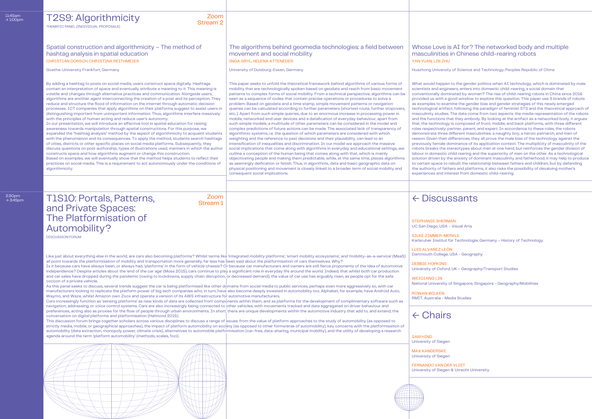#### Goethe-University Frankfurt, Germany **School Science and Technology, Peoples Republic of China** Juniversity of Duisburg-Essen, Germany **Huazhong University of Science and Technology, Peoples Republic of China** This paper seeks to unfold the theoretical framework behind algorithms of various forms of mobility that are technologically spoken based on geodata and reach from basic movement patterns to complex forms of social mobility. From a technical perspective, algorithms can be seen as a sequence of codes that contain precise operations or procedures to solve a problem. Based on geodata and a time stamp, simple movement patterns or navigation queries can be calculated according to further parameters (shortest route, further stopovers, etc..). Apart from such simple queries, due to an enormous increase in processing power in mobile, networked end user devices and a datafication of everyday behaviour, apart from such simple models, a multitude of other parameters can be considered in the model and complex predictions of future actions can be made. The associated lack of transparency of algorithmic systems, i.e. the question of which parameters are considered with which weighting and the reference to past decisions and their plausibility, can lead to an intensification of inequalities and discrimination. In our model we approach the massive social implications that come along with algorithms in everyday and educational settings, we outline a conception of the human being that comes along with that, which is mainly objectivating people and making them predictable, while, at the same time, places algorithms as seemingly deification or fetish. Thus, in algorithms, data and basic geographic data on physical positioning and movement is closely linked to a broader term of social mobility and consequent social implications. What would happen to the gender politics when AI technology, which is dominated by male scientists and engineers, enters into domestic child-rearing, a social domain that conventionally dominated by women? The rise of child-rearing robots in China since 2016 provided us with a good window to explore this question. This paper use 5 brands of robots as examples to examine the gender bias and gender strategies of this newly emerged technological artifact, following the paradigm of feminist STS and the theoretical approach of masculinity studies. The data come from two aspects: the media representation of the robots and the functions that they embody. By looking at the artifact as a networked body, it argues that, the technology is composed of front, middle, and back platforms, with three different roles respectively: partner, parent, and expert. In accordance to these roles, the robots demonstrate three different masculinities: a naughty boy, a heroic patriarch, and men of reason. Given their differences, they all prove the male bias of the technology against the previously female dominance of its application context. The multiplicity of masculinity of the robots breaks the stereotypes about men at one hand, but reinforces the gender division of labour in domestic child rearing and the superiority of men on the other. As a technological solution driven by the anxiety of dominant masculinity and fatherhood, it may help to produce to certain space to rebuilt the relationship between fathers and children, but by defending the authority of fathers and platforms, it also risks the possibility of devaluing mother's experiences and interest from domestic child-rearing. By adding a hashtag to posts on social media, users construct space digitally. Hashtags contain an interpretation of space and eventually attribute a meaning to it. This meaning is volatile and changes through alternative practices and communication. Alongside users, algorithms are another agent interconnecting the creation of a post and its perception. They reduce and structure the flood of information on the internet through automatic decision processes. ICT companies that apply algorithms on their platforms suggest to assist users in distinguishing important from unimportant information. Thus, algorithms interfere massively with the principles of human acting and reduce user's autonomy. In our presentation, we will introduce an effective tool in spatial education for raising awareness towards manipulation through spatial constructions. For this purpose, we expanded the "hashtag analysis" method by the aspect of algorithmicity to acquaint students with the phenomenon and its consequences. To apply the method, students search hashtags of cities, districts or other specific places on social media platforms. Subsequently, they discuss questions on post authorship, types of illustrations used, manners in which the author constructs space and how algorithms augment or change this construction. Based on examples, we will eventually show that the method helps students to reflect their practices on social media. This is a requirement to act autonomously under the conditions of algorithmicity. T2S9: Algorithmicity Zoom Stream 2 Spatial construction and algorithmicity – The method of hashtag analysis in spatial education The algorithms behind geomedia technologies: a field between movement and social mobility Whose Love is AI for? The networked body and multiple masculinities in Chinese child-rearing robots CHRISTIAN DORSCH, CHRISTINA REITHMEIER **INGA GRYL, HELENA ATTENEDER** INGA GRYL, HELENA ATTENEDER THE STANDAR AND THE STANDAR AND THE STANDAR AND THE STANDAR AND THE STANDAR AND THE STANDAR AND THE STANDAR AND THE STANDARD THEMATIC PANEL (INDIVIDUAL PROPOSALS) T1S10: Portals, Patterns, and Private Spaces: The Platformisation of Automobility? Zoom Stream 1 DISCUSSION FORUM ← Discussants ← Chairs STEPHANIE SHERMAN UC San Diego, USA – Visual Arts SILKE ZIMMER-MERKLE Karlsruher Institut für Technologie, Germany – History of Technology LUIS ALVAREZ LEÓN Dartmouth College, USA - Geography DEBBIE HOPKINS University of Oxford, UK – Geography/Transport Studies WETOTANG LTN National University of Singapore, Singapore - Geography/Mobilities ROWAN WILKEN RMIT, Australia - Media Studies SAM HIND University of Siegen MAX KANDERSKE University of Siegen FERNANDO VAN DER VLIST University of Siegen & Utrecht University Like just about everything else in the world, are cars also becoming platforms? Whilst terms like 'integrated mobility platforms', 'smart mobility ecosystems', and 'mobility-as-a-service' (MaaS) all point towards the platformisation of mobility and transportation more generally, far less has been said about the platformisation of cars themselves. Why? Is it because cars have always been, or always had, 'platforms' in the form of vehicle chassis? Or because car manufacturers and owners are still fierce proponents of the idea of automotive independence? Despite articles about the 'end of the car age' (Moss 2015), cars continue to play a significant role in everyday life around the world. Indeed, that whilst both car production and car sales have dropped during the pandemic (owing to lockdowns, supply chain disruption, or decreased demand), the value of car use has arguably risen, as people opt for the safe cocoon of a private vehicle. As this panel seeks to discuss, several trends suggest the car is being platformised like other domains from social media to public services, perhaps even more aggressively so, with car manufacturers looking to replicate the platform power of big tech companies who, in turn, have also become deeply invested in automobility too. Alphabet, for example, have Android Auto, Waymo, and Waze, whilst Amazon own Zoox and operate a version of its AWS infrastructure for automotive manufacturers. Cars increasingly function as 'sensing platforms' as new kinds of data are collected from components within them, and as platforms for the development of complimentary software such as navigation, addressing, or voice control systems. Cars are also increasingly being connected to other vehicles, with movements tracked and data aggregated on driver behaviour and preferences, acting also as proxies for the flow of people through urban environments. In short, there are unique developments within the automotive industry that add to, and extend, the conversation on digital platforms and platformisation (Helmond 2015). This discussion forum brings together scholars across various disciplines to discuss a range of issues: from the value of platform approaches to the study of automobility (as opposed to strictly media, mobile, or geographical approaches), the impact of platform automobility on society (as opposed to other forms/eras of automobility), key concerns with the platformisation of automobility (data extraction, monopoly power, climate crisis), alternatives to automobile platformisation (car-free, data-sharing, municipal mobility), and the utility of developing a research agenda around the term 'platform automobility' (methods, scales, foci).

11:45am<br> $\rightarrow$  1:00pm

 $2:30$ pm<br> $\rightarrow 3:45$ pm

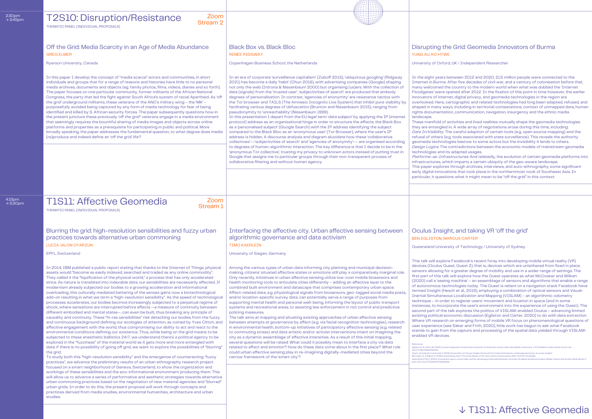$4:15$ pm<br> $\rightarrow 5:30$ p

# Grid: Geomedia Innovators of Burma

UK / Independent Researcher

tween 2012 and 2020, 21.5 million people were connected to the ter five decades of civil war, and a century of colonisation before that, country to the modern world when what was dubbed the 'Internet ned after 2012. In the fixation of this point in time however, the earlier , digital privacy, and geomedia technologies in the region are ographic and related technologies had long been adapted, refused, and , including in territorial contestations, context of unmapped data, human , communication, navigation, insurgency and the ethnic media

 $\ddot{\text{z}}$ ivities and lived realities mutually shape the geomedia technologies . A wide array of negotiations arose during this time, including: careful adaption of certain tools (e.g. open source mapping) and the tools associated with state surveillance). This reveals the authority es bestow to some actors but the invisibility it lends to others. ntradictions between the economic models of mainstream geomedia adapted usages.

ructures. And relatedly, the evolution of certain geomedia platforms into imparts a certain ubiquity of the geo-aware landscape.

hrough archives, interviews, and auto-ethnography, some significant ns that took place in the northernmost nook of Southeast Asia. In what it might mean to be "off the grid" in this context.

## , and taking VR 'off the grid'

#### **CUS CARTER**

y of Technology / University of Sydney

Facebook's recent foray into developing mobile virtual reality (VR) st, Quest 2), that is, devices which are untethered from fixed in place i greater degree of mobility and use in a wider range of settings. The  $\kappa$ ill explore how the Quest operates as what McCosker and Wilken machine' – an assemblage of sensors and algorithms that enable a range ologies today. The Quest is reliant on a navigation stack Facebook have th et al., 2019), employing a combination of optical sensors and Visual-Infertial Simultaneous Localization and Mapping (VISLAM) – an algorithmic odometry to register users' movement and location in space (and in some rate the user's environment into the experience of using the Quest). The ilk explores the politics of VISLAM-enabled Oculus – advancing limited iomic discussion (Egliston and Carter, 2020) to do with data extraction. n emerging forms of mobile VR focus on phenomenological questions of Saker and Frith, 2020), little work has begun to ask what Facebook ne capture and processing of the spatial data yielded through VISLAM-

.<br>Inaries: the promises and perils of Facebook's virtual reality. New Media and Society: 1-20. Published online ahead of print. doi:

Hesch J, Kozminski A and Linde O (2019) Powered by AI: Oculus Insight. Retrieved from https://aifacebook.com/blog/powered-by-ai-oculus-insight/<br>McCosker, A, & Wilken, R. (2020). Automating vision: The social impact of the

| 2:30pm<br>$\rightarrow$ 3:45pm | Zoom<br><b>T2S10: Disruption/Resistance</b><br><b>Stream 2</b><br>THEMATIC PANEL (INDIVIDUAL PROPOSALS)                                                                                                                                                                                                                                                                                                                                                                                                                                                                                                                                                                                                                                                                                                                                                                                                                                                                                                                                                                                                                                                                                                                                                                                                                                                                                                                                                                                                                                                                                                                                                                                                                                                                                                                                                                                                                                                                                                                                                                                                                                                                                                                                                                                                                                                                                                                                                                   |                                                                                                                                                                                                                                                                                                                                                                                                                                                                                                                                                                                                                                                                                                                                                                                                                                                                                                                                                                                                                                                                                                                                                                                                                                                                                                                                                                                                                                                                                                                                                                                                                                                                                                                         |                                                                                                                                                                                                                                                                                                                                                                                                                                                                                                                                                                                                                                                                                                            |
|--------------------------------|---------------------------------------------------------------------------------------------------------------------------------------------------------------------------------------------------------------------------------------------------------------------------------------------------------------------------------------------------------------------------------------------------------------------------------------------------------------------------------------------------------------------------------------------------------------------------------------------------------------------------------------------------------------------------------------------------------------------------------------------------------------------------------------------------------------------------------------------------------------------------------------------------------------------------------------------------------------------------------------------------------------------------------------------------------------------------------------------------------------------------------------------------------------------------------------------------------------------------------------------------------------------------------------------------------------------------------------------------------------------------------------------------------------------------------------------------------------------------------------------------------------------------------------------------------------------------------------------------------------------------------------------------------------------------------------------------------------------------------------------------------------------------------------------------------------------------------------------------------------------------------------------------------------------------------------------------------------------------------------------------------------------------------------------------------------------------------------------------------------------------------------------------------------------------------------------------------------------------------------------------------------------------------------------------------------------------------------------------------------------------------------------------------------------------------------------------------------------------|-------------------------------------------------------------------------------------------------------------------------------------------------------------------------------------------------------------------------------------------------------------------------------------------------------------------------------------------------------------------------------------------------------------------------------------------------------------------------------------------------------------------------------------------------------------------------------------------------------------------------------------------------------------------------------------------------------------------------------------------------------------------------------------------------------------------------------------------------------------------------------------------------------------------------------------------------------------------------------------------------------------------------------------------------------------------------------------------------------------------------------------------------------------------------------------------------------------------------------------------------------------------------------------------------------------------------------------------------------------------------------------------------------------------------------------------------------------------------------------------------------------------------------------------------------------------------------------------------------------------------------------------------------------------------------------------------------------------------|------------------------------------------------------------------------------------------------------------------------------------------------------------------------------------------------------------------------------------------------------------------------------------------------------------------------------------------------------------------------------------------------------------------------------------------------------------------------------------------------------------------------------------------------------------------------------------------------------------------------------------------------------------------------------------------------------------|
|                                | Off the Grid: Media Scarcity in an Age of Media Abundance<br><b>GREG ELMER</b>                                                                                                                                                                                                                                                                                                                                                                                                                                                                                                                                                                                                                                                                                                                                                                                                                                                                                                                                                                                                                                                                                                                                                                                                                                                                                                                                                                                                                                                                                                                                                                                                                                                                                                                                                                                                                                                                                                                                                                                                                                                                                                                                                                                                                                                                                                                                                                                            | <b>Black Box vs. Black Bloc</b><br><b>RENÉE RIDGWAY</b>                                                                                                                                                                                                                                                                                                                                                                                                                                                                                                                                                                                                                                                                                                                                                                                                                                                                                                                                                                                                                                                                                                                                                                                                                                                                                                                                                                                                                                                                                                                                                                                                                                                                 | Disrupting the<br>YUNG AU, KO HTWE                                                                                                                                                                                                                                                                                                                                                                                                                                                                                                                                                                                                                                                                         |
|                                | Ryerson University, Canada                                                                                                                                                                                                                                                                                                                                                                                                                                                                                                                                                                                                                                                                                                                                                                                                                                                                                                                                                                                                                                                                                                                                                                                                                                                                                                                                                                                                                                                                                                                                                                                                                                                                                                                                                                                                                                                                                                                                                                                                                                                                                                                                                                                                                                                                                                                                                                                                                                                | Copenhagen Business School, the Netherlands                                                                                                                                                                                                                                                                                                                                                                                                                                                                                                                                                                                                                                                                                                                                                                                                                                                                                                                                                                                                                                                                                                                                                                                                                                                                                                                                                                                                                                                                                                                                                                                                                                                                             | University of Oxford, l                                                                                                                                                                                                                                                                                                                                                                                                                                                                                                                                                                                                                                                                                    |
|                                | In this paper I develop the concept of "media scarce" actors and communities, in short<br>individuals and groups that for a range of reasons and histories have little to no personal<br>media archives, documents and objects (eg. family photos, films, videos, diaries and so forth).<br>The paper focuses on one particular community, former militants of the African National<br>Congress, the party that led the fight against South Africa's system of racial Apartheid. As 'off<br>the grid' underground militants, these veterans of the ANC's military wing - the 'MK' -<br>purposefully avoided being captured by any form of media technology for fear of being<br>identified and killed by S. African security forces. The paper subsequently questions how in<br>the present juncture these previously 'off the grid" veterans engage in a media environment<br>that seemingly requires the bountiful sharing of media images and objects across online<br>platforms and properties as a prerequisite for participating in public and political. More<br>broadly speaking, the paper addresses the fundamental question, to what degree does media<br>(re) produce and indeed define an 'off the grid' life?                                                                                                                                                                                                                                                                                                                                                                                                                                                                                                                                                                                                                                                                                                                                                                                                                                                                                                                                                                                                                                                                                                                                                                                                                                               | In an era of corporate 'surveillance capitalism' (Zuboff 2015), 'ubiquitous googling' (Ridgway<br>2021) has become a daily 'habit' (Chun 2016), with advertising companies (Google) shaping<br>not only the web (Introna & Nissenbaum 2000) but organising (us)ers. With the collection of<br>data (signals) from the 'trusted user', 'subjectivities of search' are produced that embody<br>degrees of personalisation. In contrast, 'agencies of anonymity' are resistance tactics with<br>the Tor browser and TAILS (The Amnesic Incognito Live System) that inhibit pure visibility by<br>facilitating various degrees of obfuscation (Brunton and Nissenbaum 2015), ranging from<br>pseudonymity to 'unreachability' (Nissenbaum 1999).<br>In this presentation I depart from the EU legal term 'data subject' by applying the IP (internet<br>protocol) address as an organisational hinge in order to structure the effects: the Black Box<br>as a 'personalised subject' (Google Search) with the IP address identifying the subject<br>compared to the Black Bloc as an 'anonymous user' (Tor Browser), where the user's IP<br>address is hidden. A discourse analysis and diagram elucidate how these 'collaborative<br>collectives'--'subjectivities of search' and 'agencies of anonymity'-- are organised according<br>to degrees of human-algorithmic interaction. The key difference is that I decide to be in the<br>'anonymous Tor collective', trusting my privacy to unknown actors instead of putting trust in<br>Google that assigns me to particular groups through their non-transparent process of<br>collaborative filtering and without human agency.                                         | In the eight years bet<br><b>Internet in Burma. Aft</b><br>many welcomed the o<br>Floodgates' were ope<br>innovators of internet<br>overlooked. Here, cart<br>shaped in many ways<br>rights documentation<br>landscape.<br>These manifold of act<br>they are entangled in.<br>Data In/Visibility. The<br>refusal of others (e.g.<br>geomedia technologie<br>Design Logics. The co<br>technologies and its a<br>Platforms-as-Infrasti<br>infrastructures, which                                                                                                                                                                                                                                             |
|                                |                                                                                                                                                                                                                                                                                                                                                                                                                                                                                                                                                                                                                                                                                                                                                                                                                                                                                                                                                                                                                                                                                                                                                                                                                                                                                                                                                                                                                                                                                                                                                                                                                                                                                                                                                                                                                                                                                                                                                                                                                                                                                                                                                                                                                                                                                                                                                                                                                                                                           |                                                                                                                                                                                                                                                                                                                                                                                                                                                                                                                                                                                                                                                                                                                                                                                                                                                                                                                                                                                                                                                                                                                                                                                                                                                                                                                                                                                                                                                                                                                                                                                                                                                                                                                         | This paper explores th<br>early digital innovation<br>particular, it questions                                                                                                                                                                                                                                                                                                                                                                                                                                                                                                                                                                                                                             |
| 4:15pm<br>$\rightarrow$ 5:30pm | Zoom<br><b>T1S11: Affective Geomedia</b><br>Stream 1<br>THEMATIC PANEL (INDIVIDUAL PROPOSALS)                                                                                                                                                                                                                                                                                                                                                                                                                                                                                                                                                                                                                                                                                                                                                                                                                                                                                                                                                                                                                                                                                                                                                                                                                                                                                                                                                                                                                                                                                                                                                                                                                                                                                                                                                                                                                                                                                                                                                                                                                                                                                                                                                                                                                                                                                                                                                                             |                                                                                                                                                                                                                                                                                                                                                                                                                                                                                                                                                                                                                                                                                                                                                                                                                                                                                                                                                                                                                                                                                                                                                                                                                                                                                                                                                                                                                                                                                                                                                                                                                                                                                                                         |                                                                                                                                                                                                                                                                                                                                                                                                                                                                                                                                                                                                                                                                                                            |
|                                | practices towards alternative urban commoning                                                                                                                                                                                                                                                                                                                                                                                                                                                                                                                                                                                                                                                                                                                                                                                                                                                                                                                                                                                                                                                                                                                                                                                                                                                                                                                                                                                                                                                                                                                                                                                                                                                                                                                                                                                                                                                                                                                                                                                                                                                                                                                                                                                                                                                                                                                                                                                                                             | Blurring the grid: high-resolution sensibilities and fuzzy urban   Interfacing the affective city. Urban affective sensing between   Oculus Insight<br>algorithmic governance and data activism                                                                                                                                                                                                                                                                                                                                                                                                                                                                                                                                                                                                                                                                                                                                                                                                                                                                                                                                                                                                                                                                                                                                                                                                                                                                                                                                                                                                                                                                                                                         | <b>BEN EGLISTON, MARK</b>                                                                                                                                                                                                                                                                                                                                                                                                                                                                                                                                                                                                                                                                                  |
|                                | <b>LUCIA JALON OYARZUN</b>                                                                                                                                                                                                                                                                                                                                                                                                                                                                                                                                                                                                                                                                                                                                                                                                                                                                                                                                                                                                                                                                                                                                                                                                                                                                                                                                                                                                                                                                                                                                                                                                                                                                                                                                                                                                                                                                                                                                                                                                                                                                                                                                                                                                                                                                                                                                                                                                                                                | <b>TIMO KAERLEIN</b>                                                                                                                                                                                                                                                                                                                                                                                                                                                                                                                                                                                                                                                                                                                                                                                                                                                                                                                                                                                                                                                                                                                                                                                                                                                                                                                                                                                                                                                                                                                                                                                                                                                                                                    | Queensland University                                                                                                                                                                                                                                                                                                                                                                                                                                                                                                                                                                                                                                                                                      |
|                                | <b>EPFL, Switzerland</b>                                                                                                                                                                                                                                                                                                                                                                                                                                                                                                                                                                                                                                                                                                                                                                                                                                                                                                                                                                                                                                                                                                                                                                                                                                                                                                                                                                                                                                                                                                                                                                                                                                                                                                                                                                                                                                                                                                                                                                                                                                                                                                                                                                                                                                                                                                                                                                                                                                                  | University of Siegen, Germany                                                                                                                                                                                                                                                                                                                                                                                                                                                                                                                                                                                                                                                                                                                                                                                                                                                                                                                                                                                                                                                                                                                                                                                                                                                                                                                                                                                                                                                                                                                                                                                                                                                                                           |                                                                                                                                                                                                                                                                                                                                                                                                                                                                                                                                                                                                                                                                                                            |
|                                | In 2014, IBM published a public report stating that thanks to the Internet of Things, physical<br>assets would "become as easily indexed, searched and traded as any online commodity".<br>They called it the "liquification of the physical world," a process that has only accelerated<br>since. As nature is translated into indexable data, our sensibilities are necessarily affected. If<br>modernism already subjected our bodies to a growing acceleration and informational<br>overloading, this culturally mediated battering of the senses gains now a biotechnological<br>add-on resulting in what we term a "high-resolution sensibility". As the speed of technological<br>processes accelerates, our bodies becmoe increasingly subjected to a perpetual regime of<br>shock, where sensations are interrupted before affects -a measure of continuity between<br>different embodied and mental states—, can even be built, thus breaking any principle of<br>causality and continuity. These "hi-res sensibilities" risk detaching our bodies from the fuzzy<br>and continuous background defining our ecologies of attention, as coined by Yves Citton, and<br>affective engagement with the world, thus compromising our ability to act and react to the<br>environmental conditions defining our existence. Thus, while being on the grid means to be<br>subjected to these anesthetic ballistics 24/7, we understand there's a political agency to be<br>explored in the "fuzziness" of the material world as it gets more and more entangled with<br>data: if there is no possibility of going off grid, we want to explore the possibilities of "blurring'<br>the grid.<br>To study both this "high-resolution sensibility" and the emergence of counteracting "fuzzy<br>practices", we advance the preliminary results of an urban ethnography research project<br>focused on a smart neighborhood of Geneva, Switzerland, to show the organization and<br>workings of these sensibilities and the eco-informational environment producing them. This<br>will allow us to advance a series of performative and aesthetic strategies towards alternative<br>urban commoning practices based on the negotiation of new material agencies and "blurred"<br>urban grids. In order to do this, the present proposal will work through concepts and<br>practices derived from media studies, environmental humanities, architecture and urban<br>studies. | Among the various types of urban data informing city planning and municipal decision-<br>making, citizens' situated affective states or emotions still play a comparatively marginal role.<br>Only recently, initiatives in urban affective sensing utilize low-cost mobile biosensors and<br>health monitoring tools to articulate cities differently - adding an affective layer to the<br>combined built environment and datascape that comprises contemporary urban space.<br>Affect-related data, e.g. physiological signals from biosensors, geo-tagged social media posts,<br>and/or location-specific survey data, can potentially serve a range of purposes from<br>supporting mental health and personal well-being, informing the layout of public transport<br>systems and recreational areas, to assisting law enforcement in riot control and predictive<br>policing measures.<br>The talk aims at mapping and situating existing approaches of urban affective sensing<br>between attempts at governance by affect (e.g. via facial recognition technologies), research<br>in environmental health, bottom-up initiatives of participatory affective sensing (e.g. related<br>to commuting stress) and data artistic and/or activist interventions intent on imagining the<br>city as a dynamic assemblage of affective intensities. As a result of this initial mapping,<br>several questions will be raised: What could it possibly mean to interface a city via data<br>related to affect and emotion? How do these data come about in the first place? What role<br>could urban affective sensing play in re-imagining digitally-mediated cities beyond the<br>narrow framework of the 'smart city'? | This talk will explore F<br>devices (Oculus Ques<br>sensors allowing for a<br>first part of this talk w<br>(2020) call a 'seeing n<br>of autonomous techn<br>termed Insight (Hesc<br><b>Inertial Simultaneous</b><br>technique - in order to<br>instances, to incorpor<br>second part of the tal<br>existing political econ<br>Where VR research or<br>user experience (see<br>stands to gain from th<br>enabled VR devices.<br>References<br>Egliston, B., & Carter, M. (2020). Oculus imag<br>10.1177/1461444820960411<br>Hesch J, Kozminski A and Linde O (2019) Po<br>McCosker, A, & Wilken, R. (2020). Automati<br>Saker M and Frith J (2020) Coextensive spa<br>print. DOI: 10.1177/0163443720932498 |
|                                |                                                                                                                                                                                                                                                                                                                                                                                                                                                                                                                                                                                                                                                                                                                                                                                                                                                                                                                                                                                                                                                                                                                                                                                                                                                                                                                                                                                                                                                                                                                                                                                                                                                                                                                                                                                                                                                                                                                                                                                                                                                                                                                                                                                                                                                                                                                                                                                                                                                                           |                                                                                                                                                                                                                                                                                                                                                                                                                                                                                                                                                                                                                                                                                                                                                                                                                                                                                                                                                                                                                                                                                                                                                                                                                                                                                                                                                                                                                                                                                                                                                                                                                                                                                                                         |                                                                                                                                                                                                                                                                                                                                                                                                                                                                                                                                                                                                                                                                                                            |

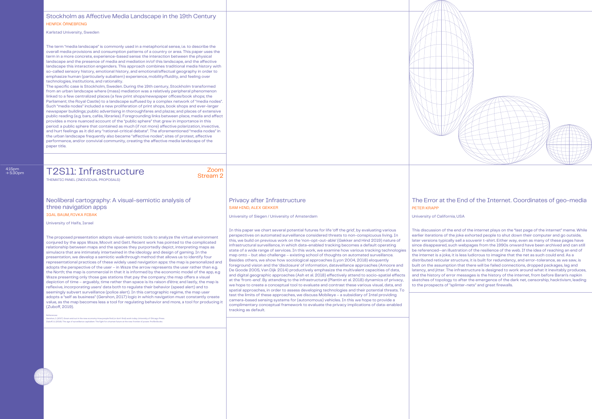#### Stockholm as Affective Media Landscape in the 19th Century HENRIK ÖRNEBRING

Karlstad University, Sweden

The term "media landscape" is commonly used in a metaphorical sense, i.e. to describe the overall media provisions and consumption patterns of a country or area. This paper uses the term in a more concrete, experience-based sense: the interaction between the physical landscape and the presence of media and mediation in/of this landscape, and the affective landscape this interaction engenders. This approach combines traditional media history with so-called sensory history, emotional history, and emotional/affectual geography in order to emphasize human (particularly subaltern) experience, mobility/fluidity, and feeling over technologies, institutions, and rationality.

The specific case is Stockholm, Sweden. During the 19th century, Stockholm transformed from an urban landscape where (mass) mediation was a relatively peripheral phenomenon linked to a few centralized places (a few print shops/newspaper offices/book shops; the Parliament; the Royal Castle) to a landscape suffused by a complex network of "media nodes". Such "media nodes" included a new proliferation of print shops, book shops and ever-larger newspaper buildings; public advertising in thoroughfares and plazas; and places of extensive public reading (e.g. bars, cafés, libraries). Foregrounding links between place, media and affect provides a more nuanced account of the "public sphere" that grew in importance in this period: a public sphere that contained as much (if not more) affective polarization, invective, and hurt feelings as it did any "rational-critical debate". The aforementioned "media nodes" in the urban landscape frequently also became "affective nodes"; sites of protest, affective performance, and/or convivial community, creating the affective media landscape of the paper title.

T2S11: Infrastructure Zoom

Stream 2

#### Neoliberal cartography: A visual-semiotic analysis of three navigation apps IGAL BAUM, RIVKA RIBAK

THEMATIC PANEL (INDIVIDUAL PROPOSALS)

4:15pm → 5:30pm

University of Haifa, Israel

The proposed presentation adopts visual-semiotic tools to analyze the virtual environment conjured by the apps Waze, Moovit and Gett. Recent work has pointed to the complicated relationship between maps and the spaces they purportedly depict, interpreting maps as simulacra that are intimately intertwined in the ideology and design of gaming. In the presentation, we develop a semiotic walkthrough method that allows us to identify four representational practices of these widely used navigation apps: the map is personalized and adopts the perspective of the user – in Waze the arrow represents the user rather than e.g. the North; the map is commercial in that it is informed by the economic model of the app, e.g Waze presenting only those gas stations that pay the company; the map offers a visual depiction of time – arguably, time rather than space is its raison d'être; and lastly, the map is reflexive, incorporating users' data both to regulate their behavior (speed alert) and to seemingly subvert surveillance (police alert). In this cartographic regime, the map user adopts a "self as business" (Gershon, 2017) logic in which navigation must constantly create value, as the map becomes less a tool for regulating behavior and more, a tool for producing it (Zuboff, 2019).

References:<br>Gershon, I. (2017). Down and out in the new economy: How people find (or don't find) work today. University of Chicago Press.<br>Zuboff, S. (2019). The age of surveillance capitalism: The fight for a human future

# SAM HIND, ALEX GEKKER PETER KRAPPETER KRAPPETER KRAPPETER KRAPPETER KRAPPETER KRAPPETER KRAPPETER KRAPPETER KRAPPETER KRAPPETER SOM AT ALL ASSAULTS AND A STRUCK AND A STRUCK AND A STRUCK AND A STRUCK AND A STRUCK AND A STR

University of Siegen / University of Amsterdam University of California, USA

In this paper we chart several potential futures for life 'off the grid', by evaluating various perspectives on automated surveillance considered threats to non-conspicuous living. In this, we build on previous work on the 'non-opt-out-able' (Gekker and Hind 2019) nature of infrastructural surveillance, in which data-enabled tracking becomes a default operating state of a wide range of services. In this work, we examine how various tracking technologies map onto – but also challenge – existing school of thoughts on automated surveillance. Besides others, we show how sociological approaches (Lyon 2004, 2018) eloquently foreground vision and the 'disclosure' of information, dataveillance approaches (Amoore and De Goode 2005, Van Dijk 2014) productively emphasize the multivalent capacities of data, and digital geographic approaches (Ash et al. 2018) effectively attend to socio-spatial effects at the 'front-end'. By attending to the infrastructural (Plantin et al. 2018) dynamics of privacy, we hope to create a conceptual tool to evaluate and contrast these various visual, data, and spatial approaches, in order to assess developing technologies and their potential threats. To test the limits of these approaches, we discuss Mobileye – a subsidiary of Intel providing camera-based sensing systems for (autonomous) vehicles. In this we hope to provide a complimentary conceptual framework to evaluate the privacy implications of data-enabled tracking as default.

This discussion of the end of the internet plays on the "last page of the internet" meme. While earlier iterations of the joke exhorted people to shut down their computer and go outside, later versions typically sell a souvenir t-shirt. Either way, even as many of these pages have since disappeared, such webpages from the 1990s onward have been archived and can still be referenced—an illustration of the resilience of the web. If the idea of reaching an end of the internet is a joke, it is less ludicrous to imagine that the net as such could end. As a distributed reticular structure, it is built for redundancy, and error-tolerance, as we saw, is built on the assumption that there will be failed connections, dropped packages, lag and latency, and jitter. The infrastructure is designed to work around what it inevitably produces, and the history of error messages is the history of the internet, from before Baran's napkin sketches of topology to after the emergence of the dark net, censorship, hacktivism, leading to the prospects of "splinter-nets" and great firewalls.



#### Privacy after Infrastructure The Error at the End of the Internet. Coordinates of geo-media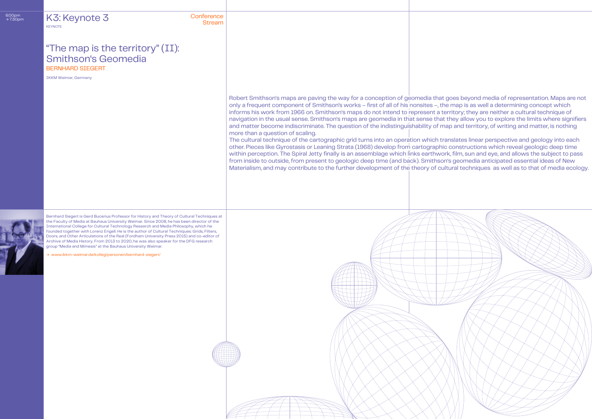# → 7:30pm Conference Stream K3: Keynote 3

**KEYNOTE** 

Robert Smithson's maps are paving the way for a conception of geomedia that goes beyond media of representation. Maps are not only a frequent component of Smithson's works – first of all of his nonsites –, the map is as well a determining concept which informs his work from 1966 on. Smithson's maps do not intend to represent a territory; they are neither a cultural technique of navigation in the usual sense. Smithson's maps are geomedia in that sense that they allow you to explore the limits where signifiers and matter become indiscriminate. The question of the indistinguishability of map and territory, of writing and matter, is nothing more than a question of scaling.

## BERNHARD SIEGERT "The map is the territory" (II): Smithson's Geomedia

The cultural technique of the cartographic grid turns into an operation which translates linear perspective and geology into each other. Pieces like Gyrostasis or Leaning Strata (1968) develop from cartographic constructions which reveal geologic deep time within perception. The Spiral Jetty finally is an assemblage which links earthwork, film, sun and eye, and allows the subject to pass from inside to outside, from present to geologic deep time (and back). Smithson's geomedia anticipated essential ideas of New Materialism, and may contribute to the further development of the theory of cultural techniques as well as to that of media ecology.

IKKM Weimar, Germany

Bernhard Siegert is Gerd Bucerius Professor for History and Theory of Cultural Techniques at the Faculty of Media at Bauhaus University Weimar. Since 2008, he has been director of the International College for Cultural Technology Research and Media Philosophy, which he founded together with Lorenz Engell. He is the author of Cultural Techniques: Grids, Filters, Doors, and Other Articulations of the Real (Fordham University Press 2015) and co-editor of Archive of Media History. From 2013 to 2020, he was also speaker for the DFG research group "Media and Mimesis" at the Bauhaus University Weimar.

→ www.ikkm-weimar.de/kolleg/personen/bernhard-siegert/

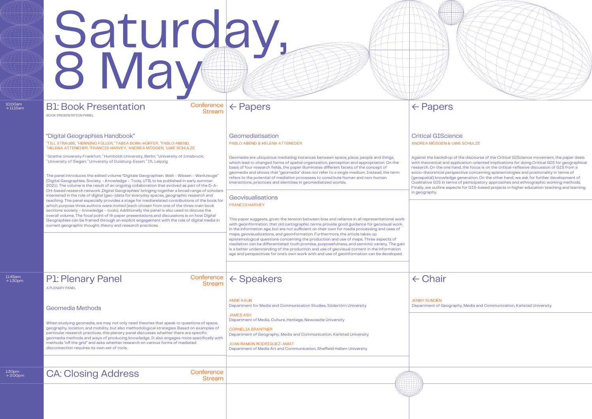1:30pm<br> $\rightarrow$  2:00pm

# B1: Book Presentation ← Papers Saturday, 8 May

| 10:00am<br>$\rightarrow$ 11:15am | <b>B1: Book Presentation</b><br><b>BOOK PRESENTATION PANEL</b>                                                                                                                                                                                                                                                                                                                                                                                                                                                                                                                                                                                                                                                                                | Conference<br><b>Stream</b>   | $\leftarrow$ Papers                                                                                                                                                                                                                                                                                                                                                                                                                                                                                                                                                                                                                                                                                                                                                                                              | $\leftarrow$ Papers                                                                                                                                                                 |
|----------------------------------|-----------------------------------------------------------------------------------------------------------------------------------------------------------------------------------------------------------------------------------------------------------------------------------------------------------------------------------------------------------------------------------------------------------------------------------------------------------------------------------------------------------------------------------------------------------------------------------------------------------------------------------------------------------------------------------------------------------------------------------------------|-------------------------------|------------------------------------------------------------------------------------------------------------------------------------------------------------------------------------------------------------------------------------------------------------------------------------------------------------------------------------------------------------------------------------------------------------------------------------------------------------------------------------------------------------------------------------------------------------------------------------------------------------------------------------------------------------------------------------------------------------------------------------------------------------------------------------------------------------------|-------------------------------------------------------------------------------------------------------------------------------------------------------------------------------------|
|                                  | "Digital Geographies Handbook"<br><sup>1</sup> TILL STRAUBE, <sup>2</sup> HENNING FÜLLER, <sup>3</sup> TABEA BORK-HÜFFER, <sup>4</sup> PABLO ABEND,<br>HELENA ATTENEDER, FRANCIS HARVEY, 'ANDREA MÖSGEN, 'UWE SCHULZE                                                                                                                                                                                                                                                                                                                                                                                                                                                                                                                         |                               | Geomediatisation<br>PABLO ABEND & HELENA ATTENEDER                                                                                                                                                                                                                                                                                                                                                                                                                                                                                                                                                                                                                                                                                                                                                               | <b>Critical GIScier</b><br><b>ANDREA MÖSGEN &amp; L</b>                                                                                                                             |
|                                  | $^{\rm h}$ Goethe University Frankfurt; $^{\rm 2}$ Humboldt University, Berlin; $^{\rm 3}$ University of Innsbruck;<br><sup>4</sup> University of Siegen; <sup>5</sup> University of Duisburg-Essen; <sup>6</sup> IfL Leipzig<br>The panel introduces the edited volume "Digitale Geographien. Welt - Wissen - Werkzeuge"<br>(Digital Geographies. Society - Knowledge - Tools, UTB, to be published in early summer<br>2021). The volume is the result of an ongoing collaboration that evolved as part of the D-A-                                                                                                                                                                                                                          |                               | Geomedia are ubiquitous mediating instances between space, place, people and things,<br>which lead to changed forms of spatial organization, perception and appropriation. On the<br>basis of four research fields, the paper illuminates different facets of the concept of<br>geomedia and shows that "geomedia" does not refer to a single medium. Instead, the term<br>refers to the potential of mediation processes to constitute human and non-human<br>interactions, practices and identities in geomediatized worlds.                                                                                                                                                                                                                                                                                   | Against the backdrop<br>with theoretical and ap<br>research. On the one h<br>socio-theoretical pers<br>(geospatial) knowledg<br>Qualitative GIS in tern<br>Finally, we outline aspe |
|                                  | CH-based research network , Digital Geographies' bringing together a broad range of scholars<br>interested in the role of digital (geo-)data for everyday spaces, geographic research and<br>teaching. The panel especially provides a stage for mediarelated contributions of the book for<br>which purpose three authors were invited (each chosen from one of the three main book<br>sections: society - knowledge - tools). Additionally the panel is also used to discuss the<br>overall volume. The focal point of th paper presentations and discussions is on how Digital<br>Geographies can be framed through an explicit engagement with the role of digital media in<br>current geographic thought, theory and research practices. |                               | Geovisualisations<br><b>FRANCIS HARVEY</b><br>This paper suggests, given the tension between bias and reliance in all representational work<br>with geoinformation, that old cartographic terms provide good guidance for geovisual work<br>in the information age, but are not sufficient on their own for media processing and uses of<br>maps, geovisualizations, and geoinformation. Furthermore, the article takes up<br>epistemological questions concerning the production and use of maps. Three aspects of<br>mediation can be differentiated: truth promise, purposefulness, and semiotic variety. The gain<br>is a better understanding of the production and use of geovisual content in the information<br>age and perspectives for one's own work with and use of geoinformation can be developed. | in geography.                                                                                                                                                                       |
| 11:45am<br>$\rightarrow$ 1:30pm  | <b>P1: Plenary Panel</b><br>A PLENARY PANEL                                                                                                                                                                                                                                                                                                                                                                                                                                                                                                                                                                                                                                                                                                   | Conference  <br><b>Stream</b> | $\leftarrow$ Speakers                                                                                                                                                                                                                                                                                                                                                                                                                                                                                                                                                                                                                                                                                                                                                                                            | $\leftarrow$ Chair                                                                                                                                                                  |
|                                  | <b>Geomedia Methods</b><br>When studying geomedia, we may not only need theories that speak to questions of space,<br>geography, location, and mobility, but also methodological strategies. Based on examples of<br>particular research practices, this plenary panel discusses whether there are specific<br>geomedia methods and ways of producing knowledge. It also engages more specifically with<br>methods "off the grid" and asks whether research on various forms of mediated<br>disconnection requires its own set of tools.                                                                                                                                                                                                      |                               | <b>ANNE KAUN</b><br>Department for Media and Communication Studies, Södertörn University<br><b>JAMES ASH</b><br>Department of Media, Culture, Heritage, Newcastle University<br><b>CORNELIA BRANTNER</b><br>Department of Geography, Media and Communication, Karlstad University<br><b>JOAN RAMON RODRÍGUEZ-AMAT</b><br>Department of Media Art and Communication, Sheffield Hallam University                                                                                                                                                                                                                                                                                                                                                                                                                  | <b>JENNY SUNDÉN</b><br>Department of Geogra                                                                                                                                         |
| 1:30pm<br>$\rightarrow$ 2:00pm   | <b>CA: Closing Address</b>                                                                                                                                                                                                                                                                                                                                                                                                                                                                                                                                                                                                                                                                                                                    | Conference<br><b>Stream</b>   |                                                                                                                                                                                                                                                                                                                                                                                                                                                                                                                                                                                                                                                                                                                                                                                                                  |                                                                                                                                                                                     |



#### ence **WE SCHULZE**

op of the discourse of the Critical GIScience movement, the paper deals application-oriented implications for doing Critical GIS for geographical e hand, the focus is on the critical-reflexive discussion of GIS from a erspective concerning epistemologies and positionality in terms of dge generation. On the other hand, we ask for further development of erms of participatory approaches and ethnographic working methods. spects for GIS-based projects in higher education teaching and learning

graphy, Media and Communication, Karlstad University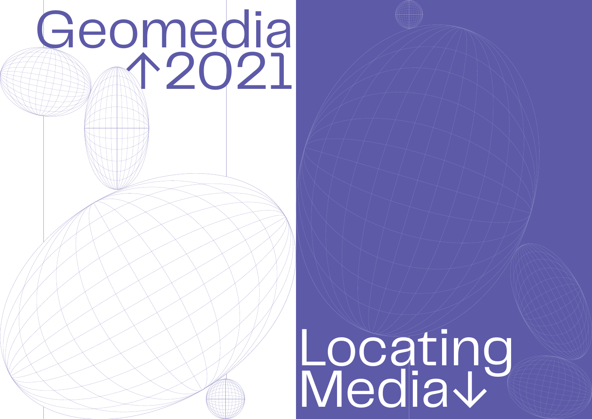

# Locating Media↓

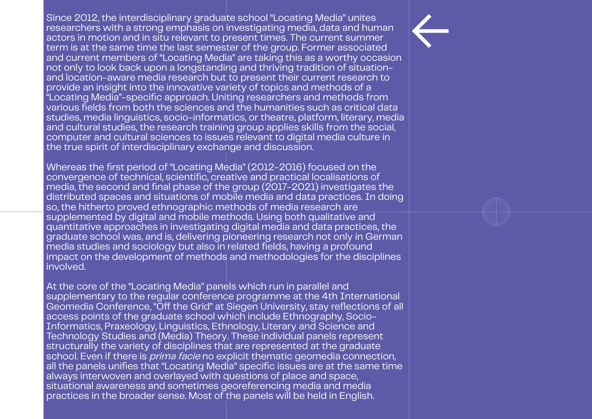Since 2012, the interdisciplinary graduate school "Locating Media" unites researchers with a strong emphasis on investigating media, data and human actors in motion and in situ relevant to present times. The current summer term is at the same time the last semester of the group. Former associated and current members of "Locating Media" are taking this as a worthy occasion not only to look back upon a longstanding and thriving tradition of situationand location-aware media research but to present their current research to provide an insight into the innovative variety of topics and methods of a "Locating Media"-specific approach. Uniting researchers and methods from various fields from both the sciences and the humanities such as critical data studies, media linguistics, socio-informatics, or theatre, platform, literary, media and cultural studies, the research training group applies skills from the social, computer and cultural sciences to issues relevant to digital media culture in the true spirit of interdisciplinary exchange and discussion.

Whereas the first period of "Locating Media" (2012-2016) focused on the convergence of technical, scientific, creative and practical localisations of media, the second and final phase of the group (2017-2021) investigates the distributed spaces and situations of mobile media and data practices. In doing so, the hitherto proved ethnographic methods of media research are supplemented by digital and mobile methods. Using both qualitative and quantitative approaches in investigating digital media and data practices, the graduate school was, and is, delivering pioneering research not only in German media studies and sociology but also in related fields, having a profound impact on the development of methods and methodologies for the disciplines involved.

At the core of the "Locating Media" panels which run in parallel and supplementary to the regular conference programme at the 4th International Geomedia Conference, "Off the Grid" at Siegen University, stay reflections of all access points of the graduate school which include Ethnography, Socio-Informatics, Praxeology, Linguistics, Ethnology, Literary and Science and Technology Studies and (Media) Theory. These individual panels represent structurally the variety of disciplines that are represented at the graduate school. Even if there is *prima facie* no explicit thematic geomedia connection, all the panels unifies that "Locating Media" specific issues are at the same time always interwoven and overlayed with questions of place and space, situational awareness and sometimes georeferencing media and media practices in the broader sense. Most of the panels will be held in English.

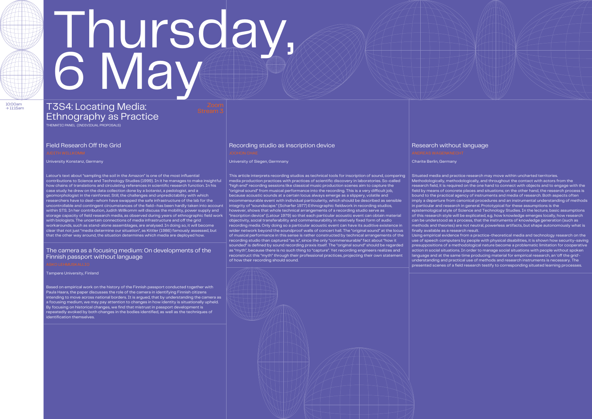# Thursday, 6 May

# T3S4: Locating Media: Ethnography as Practice

THEMATIC PANEL (INDIVIDUAL PROPOSALS)

 $10:00$ am<br> $\rightarrow 11:15$ am

University Konstanz, Germany Charite Berlin, Germany Charite Berlin, Germany Charite Berlin, Germany Charite Berlin, Germany

Latour's text about "sampling the soil in the Amazon" is one of the most influential contributions to Science and Technology Studies (1999). In it he manages to make insightful how chains of translations and circulating references in scientific research function. In his case study he drew on the data collection done by a botanist, a pedologist, and a geomorphologist in the rainforest. Still, the challenges and unpredictability with which researchers have to deal—whom have swapped the safe infrastructure of the lab for the uncontrollable and contingent circumstances of the field—has been hardly taken into account within STS. In her contribution, Judith Willkomm will discuss the mobility, power supply and storage capacity of field research media, as observed during years of ethnographic field work with biologists. The uncertain connections of media infrastructure and off the grid workarounds, such as stand-alone assemblages, are analysed. In doing so, it will become clear that not just "media determine our situation", as Kittler (1986) famously assessed, but that the other way around, the situation determines which media are deployed how.

This article interprets recording studios as technical tools for inscription of sound, comparing media production practices with practices of scientific discovery in laboratories. So-called "high end" recording sessions like classical music production scenes aim to capture the "original sound" from musical performance into the recording. This is a very difficult job, because acoustic sounds at a certain locus always emerge as a slippery, volatile and incommensurable event with individual particularity, which should be described as sensible integrity of "soundscape." (Scharfer 1977) Ethnographic fieldwork in recording studios, however, shows that whole technical arrangements of a recording studio serve as "inscription device" (Latour 1979) so that each particular acoustic event can obtain material objectivity, social transferability and commensurability in relatively fixed form of audio recording media. Only doing so a particular acoustic event can have its auditive existence in wider network beyond the soundproof walls of concert hall. The "original sound" at the locus of musical performance in this sense is rather constructed by technical arrangements of the recording studio than captured "as is", since the only "commensurable" fact about "how it sounded" is defined by sound recording praxis itself. The "original sound" should be regarded as "myth", because there is no such thing to "capture". Yet recording engineers realizes and reconstruct this "myth" through their professional practices, projecting their own statement of how their recording should sound.



Situated media and practice research may move within uncharted territories. Methodologically, methodologically, and throughout the contact with actors from the research field, it is required on the one hand to connect with objects and to engage with the field by means of concrete places and situations; on the other hand, the research process is bound to the practical agency of instruments and media of research. Both aspects often imply a departure from canonical procedures and an instrumental understanding of methods in particular and research in general. Prototypical for these assumptions is the

epistemological style of Science and Technology Studies. In the lecture, basic assumptions of this research style will be explicated, e.g. how knowledge emerges locally, how research can be understood as a process, that the instruments of knowledge generation (such as methods and theories) are not neutral, powerless artifacts, but shape autonomously what is

finally available as a research result.



Using empirical evidence from a practice-theoretical media and technology research on the use of speech computers by people with physical disabilities, it is shown how security-saving presuppositions of a methodological nature become a problematic limitation for cooperative action in social situations. In order to manage social situations with people without spoken language and at the same time producing material for empirical research, an 'off the grid' understanding and practical use of methods and research instruments is necessary. The presented scenes of a field research testify to corresponding situated learning processes.

Based on empirical work on the history of the Finnish passport conducted together with Paula Haara, the paper discusses the role of the camera in identifying Finnish citizens intending to move across national borders. It is argued, that by understanding the camera as a focusing medium, we may pay attention to changes in how identity is situationally upheld. By focusing on historical changes, we find that mistrust in passport development is repeatedly evoked by both changes in the bodies identified, as well as the techniques of identification themselves.

## Field Research Off the Grid Recording studio as inscription device Recording Studio as inscription device

Tampere University, Finland

#### The camera as a focusing medium: On developments of the Finnish passport without language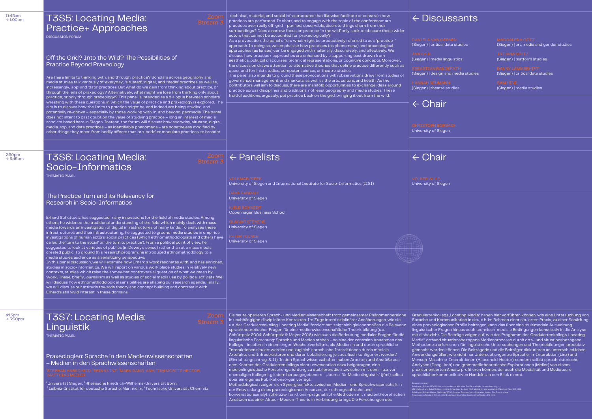technical, material, and social infrastructures that likewise facilitate or constrain how practices are performed. In short, and to engage with the topic of the conference: are practices ever really off-grid – purified, observable, discrete things shorn from their surroundings? Does a narrow focus on practice 'in the wild' only seek to obscure these wider

actors that cannot be accounted for, praxeologically? As a provocation, the panel offers what might be productively referred to as a 'practice+' approach. In doing so, we emphasise how practices (as phenomena) and praxeological approaches (as lenses) can be engaged with materially, discursively, and affectively. We discuss how practice+ approaches are enhanced by a supporting cast drawn from aesthetics, political discourses, technical representations, or cognitive concepts. Moreover, the discussion draws attention to alternative theories that define practice differently such as queer and feminist studies, computer science, or theatre studies.

2:30pm  $\rightarrow$  3:45pm

 $4:15$ pm<br> $\rightarrow 5:30$ pm

The panel also intends to ground these provocations with observations draw from studies of governance, management, and markets, as well as the arts, culture, and health. As the contributors will aim to discuss, there are manifold opportunities to exchange ideas around practice across disciplines and traditions, not least geography and media studies. These fruitful additions, arguably, put practice back on the grid, bringing it out from the wild.

## **T3S7: Locating Media:** Linguistik

## T3S5: Locating Media: Practice+ Approaches

DISCUSSION FORUM

THEMATIC PANEL

The Practice Turn and its Relevancy for Research in Socio-Informatics

Off the Grid? Into the Wild? The Possibilities of Practice Beyond Praxeology

← Discussants

(Siegen) | critical d

(Siegen) | media lin

(Siegen) | design

(Siegen) | theatre

← Panelists ← Chair

# ← Chair

| <b>INEN</b>      | <b>MAGDALENA GÖTZ</b>                               |
|------------------|-----------------------------------------------------|
| ata studies      | (Siegen) art, media and gender studies              |
| quistics         | <b>TATJANA SEITZ</b><br>(Siegen)   platform studies |
| <b>ERATH</b>     | <b>DANNY LÄMMERHIRT</b>                             |
| nd media studies | (Siegen)   critical data studies                    |
| N.               | <b>SAM HIND</b>                                     |
| tudies           | (Siegen)   media studies                            |

University of Siegen and International Institute for Socio-Informatics (IISI)

University of Siegen

Copenhagen Business School

University of Siegen

University of Siegen



University of Siegen

University of Siegen

## T3S6: Locating Media: Socio-Informatics

Praxeologien: Sprache in den Medienwissenschaften – Medien in den Sprachwissenschaften

 $^{\rm a}$ Universität Siegen;  $^{\rm a}$ Rheinische Friedrich–Wilhelms–Universität Bonn;  $^{\text{3}}$ Leibniz–Institut für deutsche Sprache, Mannheim;  $^{\text{4}}$ Technische Universität Chemnitz



Are there limits to thinking with, and through, practice? Scholars across geography and media studies talk variously of 'everyday', 'situated', 'digital', and 'media' practices as well as, increasingly, 'app' and 'data' practices. But what do we gain from thinking about practice, or through the lens of praxeology? Alternatively, what might we lose from thinking only about practice, or only through praxeology? This panel is intended as a dialogue between scholars wrestling with these questions, in which the value of practice and praxeology is explored. The aim is to discuss how the limits to practice might be, and indeed are being, studied, and potentially re-drawn – especially by those working with, in, and beyond, geomedia. The panel does not intent to cast doubt on the value of studying practice – long an interest of media scholars based here in Siegen. Instead, the forum will discuss how everyday, situated, digital, media, app, and data practices – as identifiable phenomena – are nonetheless modified by other things they meet, from bodily affects that 'pre-code' or modulate practices, to broader

Erhard Schüttpelz has suggested many innovations for the field of media studies. Among others, he widened the traditional understanding of the field which mainly dealt with mass media towards an investigation of digital infrastructures of many kinds. To analyses these infrastructures and their infrastructuring, he suggested to ground media studies in empirical investigations of human actors' social practices (which ethnomethodologists and others have called the 'turn to the social' or 'the turn to practice'). From a political point of view, he suggested to look at varieties of publics (in Dewey's sense) rather than at a mass media created public. To ground this research program, he introduced ethnomethodology to a media studies audience as a sensitizing perspective.

In this panel discussion, we will examine how Erhard's work resonates with, and has enriched, studies in socio-informatics. We will report on various work place studies in relatively new contexts, studies which raise the somewhat controversial question of what we mean by 'work'. These, briefly, journalism as well as studies of social media use by political activists. We will discuss how ethnomethodological sensibilities are shaping our research agenda. Finally, we will discuss our attitude towards theory and concept building and contrast it with Erhard's still vivid interest in these domains.

Bis heute operieren Sprach- und Medienwissenschaft trotz gemeinsamer Phänomenbereiche



medienlinguistische Forschungsrichtung zu etablieren, die inzwischen mit dem – u.a. von ehemaligen Kollegmitgliedern herausgegebenem - "Journal für Medienlinguistik" (jfml) selbst über ein eigenes Publikationsorgan verfügt.

Methodologisch zeigen sich Synergieeffekte zwischen Medien- und Sprachwissenschaft in der Entwicklung eines praxeologischen Ansatzes, der ethnographische und konversationsanalytische bzw. funktional-pragmatische Methoden mit medientheoretischen Ansätzen u.a. einer Akteur-Medien-Theorie in Verbindung bringt. Die Forschungen des

Graduiertenkollegs "Locating Media" haben hier vorführen können, wie eine Untersuchung von Sprache und Kommunikation in situ, d.h. im Rahmen einer situierten Praxis, zu einer Schärfung eines praxeologischen Profils beitragen kann, das über eine multimodale Ausweitung linguistischer Fragen hinaus auch technisch-mediale Bedingungen konstitutiv in die Analyse mit einbezieht. Die Beiträge zeigen auf, wie das Programm des Graduiertenkollegs ,Locating Media", ortsund situationsbezogene Medienprozesse durch orts- und situationsbezogene Methoden zu erforschen, für linguistische Untersuchungen und Theoriebildungen produktiv gemacht werden können. Die Beiträgerin und die Beiträger diskutieren an unterschiedlichen Anwendungsfällen, wie nicht nur Untersuchungen zu Sprache-in-Interaktion (Linz) und Mensch-Maschine-Interaktionen (Habscheid, Hector), sondern selbst sprachhistorische Analysen (Dang-Anh) und grammatiktheoretische Explorationen (Meiler) von einem praxisorientierten Ansatz profitieren können, der auch die Medialität und Mediateure sprachlichenkommunikativen Handelns in den Blick nimmt.

Zitierte Literatur:

Schüttpelz, Erhard (2004): Das radebrechende Alphabet. Drei Modelle der Unterscheidung von Mündlichkeit und Schriftlichkeit, in: Linz, Erika/Jäger, Ludwig (Hg.): Medialität und Mentalität. München: Fink, 347–369.

Schüttpelz, Erhard/Meyer, Christian (2018): Charles Goodwin's Co-Operative Action: The Idea and the

Argument. In: Media in Action. Interdisciplinary Journal on Cooperative Media 1, 171–188.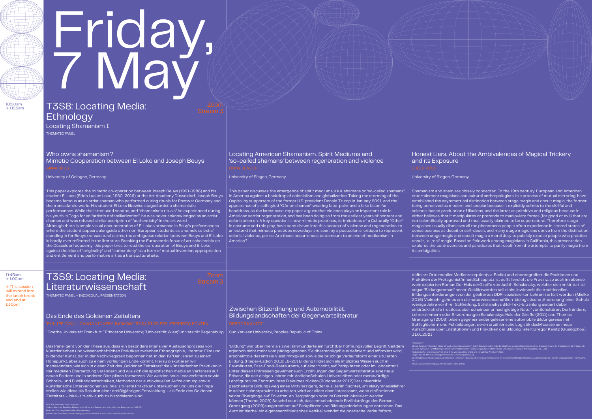# Friday, 7 May

10:00am  $\rightarrow$  11:15am

11:45am  $\rightarrow$  1:00pm

# T3S8: Locating Media: Ethnology

THEMATIC PANEL Locating Shamanism I

Who owns shamanism? Mimetic Cooperation between El Loko and Joseph Beuys

University of Cologne, Germany **University of Cologne, Germany Cologne** University of Siegen, Germany **University of Siegen, Germany Cologne, Germany University of Siegen, Germany Cologne, Germany Cologne, Germany Cologne,** 

### Locating American Shamanism. Spirit Mediums and 'so-called shamans' between regeneration and violence

### Honest Liars. About the Ambivalences of Magical Trickery and its Exposure

# T3S9: Locating Media: Literaturwissenschaft

#### Das Ende des Goldenen Zeitalters

 $^1$ Goethe Universität Frankfurt;  $^2$ Princeton University;  $^3$ Universität Wien; $^4$ Universität Regensburg  $\, \mid \,$  Sun Yat–sen University, Peoples Republic of China

### Zwischen Sitzordnung und Automobilität. Bildungslandschaften der Gegenwartsliteratur

THEMATIC PANEL + INDIVIDUAL PRESENTATION

→ This session will extend into the lunch break and end at 1:30pm

This paper explores the mimetic co-operation between Joseph Beuys (1921-1986) and his student El Loco (Edoh Lucien Loko, 1960-2016) at the Art Academy Düsseldorf. Joseph Beuys became famous as an artist shaman who performed curing rituals for Postwar Germany and the transatlantic world. His student El Loko likewise staged artistic shamanistic performances. While the latter used voodoo, and "shamanistic rituals" he experienced during his youth in Togo for an "artistic defamiliarization", he was never acknowledged as an artist shaman and was refused similar ascription of "authenticity" in the art word. Although there is ample visual documentation of El Lokos presence in Beuy's performances

where the student appears alongside other non-European students as a nameless 'extra' standing in for Beuys transcultural claims, the ambiguous relation between Beuys and El Loko is hardly ever reflected in the literature. Breaking the Eurocentric focus of art scholarship on the Düsseldorf academy, this paper tries to read the co-operation of Beuys and El Loko against the idea of "originality" and "authenticity" as a form of mutual invention, appropriation and entitlement and performative art as a transcultural site.

This paper discusses the emergence of spirit mediums, a.k.a. shamans or "so-called shamans", in America against a backdrop of colonialism and globalization. Taking the storming of the Capitol by supporters of the former U.S. president Donald Trump in January 2021, and the appearance of a selfstyled "QAnon shaman" wearing face-paint and a fake bison fur headdress, as the latest case, my paper argues that violence plays an important role in American settler regeneration, and has been doing so from the earliest years of contact and colonization on. A key question is how mimetic practices, i.e. imitations of a Culturally "Other" in costume and role play, have been drawn into this context of violence and regeneration, to an extend that mimetic practices nowadays are seen by a postcolonial critique to represent colonial violence, per se. Are these occurrences tantamount to an end of mediumism in America?

Shamanism and sham are closely connected. In the 19th century, European and American entertainment magicians and cultural anthropologists, in a process of mutual mirroring, have established the asymmetrical distinction between stage magic and occult magic, the former being perceived as modern and secular because it explicitly admits to the skillful and science-based production of illusions, and the latter as primitive and religious because it either believes that it manipulates or pretends to manipulate forces (for good or evil) that are not scientifically approved and thus usually claimed to be supernatural. Therefore, stage magicians usually dismisses all the phenomena people often experience in altered states of consciousness as deceit or self-deceit, and many stage magicians derive from the distinction between stage magic and occult magic a moral duty to publicly expose people who practice occult, i.e. ,real" magic. Based on fieldwork among magicians in California, this presentation explores the controversies and paradoxes that result from the attempts to purify magic from

its ambiguities.

definiert Orte mobiler Medienrezeption(v.a. Radio) und choreografiert die Positionen und Praktiken der Protagonist\*innen.Schauplatz ist auffallend oft die Provinz, so auch im ebenso weitrezipierten Roman Der Hals derGiraffe von Judith Schalansky, welcher sich im Untertitel sogar "Bildungsroman" nennt. Geklärtwerden soll nicht, inwieweit die traditionellen Bildungsanforderungen von der gealterten, DDR-sozialisierten Lehrerin erfüllt werden. (Mielke 2016) Vielmehr geht es um die naturwissenschaftlich-biologistische 'Anordnung' einer Schule wenige Jahre vor ihrer Schließung. Schalanskys Bild-Text-Erzählung sistiert dabei eindrücklich die trostlose, aber scheinbar unnachgiebige ,Natur' vonSchultüren, Dorfrändern, Lehrerzimmern oder Sitzordnungen.Schalanskys Hals der Giraffe (2011) und Thomes Grenzgang (2009) bilden gegeneinander geleseneine automobile Bildungsreise mit Schlaglöchern und Fehlbildungen, deren erzählerische Logistik desMissratenen neue

Aufschlüsse über Institutionen und Praktiken der Bildung liefert.Gregor Kanitz (Guangzhou), 31.01.2021

Referenzen:

Rieger-Ladich, Markus: Bildungstheorien zur Einführung. Hamburg

2019.Rüdenauer, Ulrich: Gegenwartsliteratur: Lehrer am Rande des Nervenzusammenbruchs. In: Die Zeit,25.04.2012.Schalansky, Judith: Der Hals der Giraffe. Bildungsroman. Frankfurt/M. Thome, Stephan: Grenzgang. Roman. Frankfurt/M. 2009.

"Bildung" war über mehr als zwei Jahrhunderte ein furchtbar hoffnungsvoller Begriff. Seitdem erjedoch nicht mehr vom pädagogischen "Feldherrenhügel" aus definiert und affirmiert wird, erscheintdie dezentrale Vielstimmigkeit sowie die brüchige Verlaufsform einer situierten Bildung. (Rieger-Ladich 2019: 16-20) Bildung findet sich als implizites Wissen auch in Baumärkten, Fast-Food-Restaurants, auf einer Yacht, auf Parkplätzen oder im Jobcenter.1 Unter diesen Prämissen gewinnenauch Erzählungen der Gegenwartsliteratur eine neue Brisanz, die seit einigen Jahren mit VorliebeSchulen, Universitäten oder merkwürdige Lehrfiguren ins Zentrum ihres Diskurses rücken.(Rüdenauer 2012)Der universitär gescheiterte Bildungsweg eines Mittvierzigers, der aus Berlin flüchtet, um alsGymnasiallehrer in seiner Heimatprovinz zu arbeiten, wird vor allem dann interessant, wenn dieStationen seiner Übergänge auf Toiletten, an Berghängen oder im Bierzelt lokalisiert werden können.(Thome 2009) So wird deutlich, dass entscheidende Erzählstränge des Romans Grenzgang (2009)ausgerechnet auf Parkplätzen von Bildungseinrichtungen entstehen. Das Auto ist hierbei ein eigeneserzählerisches Vehikel, wendet die poetische Verlaufsform,



Das Panel geht von der These aus, dass ein besonders intensiver Austauschprozess von künstlerischen und wissenschaftlichen Praktiken zwischen Ethnographie, Literatur, Film und bildender Kunst, der in der Nachkriegszeit begonnen hat, in den 1970er Jahren zu einem Höhepunkt, aber auch zu einem vorläufigen Ende kommt. Hierzu diskutieren wir insbesondere, wie sich in dieser Zeit des "Goldenen Zeitalters" die künstlerischen Praktiken in der medialen Übersetzung verändern und wie sich die spezifischen medialen Verfahren auf neuen Feldern und in anderen Disziplinen fortsetzen. Wir werden neue Leseverfahren sowie Schreib- und Publikationstechniken, Methoden der audiovisuellen Aufzeichnung sowie künstlerische Interventionen als lokal situierte Praktiken untersuchen und uns die Frage stellen wie diese als Resultat einer dreißigjährigen Entwicklung – als Ende des Goldenen Zeitalters – lokal-situativ auch zu historisieren sind.

Goll: "Die Reise des Tupac Yupanki" Vickery-Barkow: "Retelling: Ethnography's Past and Present in the Art of Lothar Baumgarten, 1968-78"

Eidelpes: "Ethnologie und Selbst-Entfremdung" Ponten: "Die Suche nach einer Ethnographie des Inlands in Harun Farockis Filmen der 1970er"

Mielke, Angela: "Philosophie hätte ich auch unterrichten können". Judith Schalankys Der Hals der Giraffeals vielschichtige Spielart eines Bildungsromans. In: Institutionen der Pädagogik. Studien zur Kultur- undMediengeschichte ihrer ästhetischen Formierungen, hg. von Metin Genc und Christof Hamann. Würzburg2016, 357–391<br>Pädagogische Heterotopien. Von A bis Z, hg. von Daniel Burghard und Jörg Zirfas. Weinhe